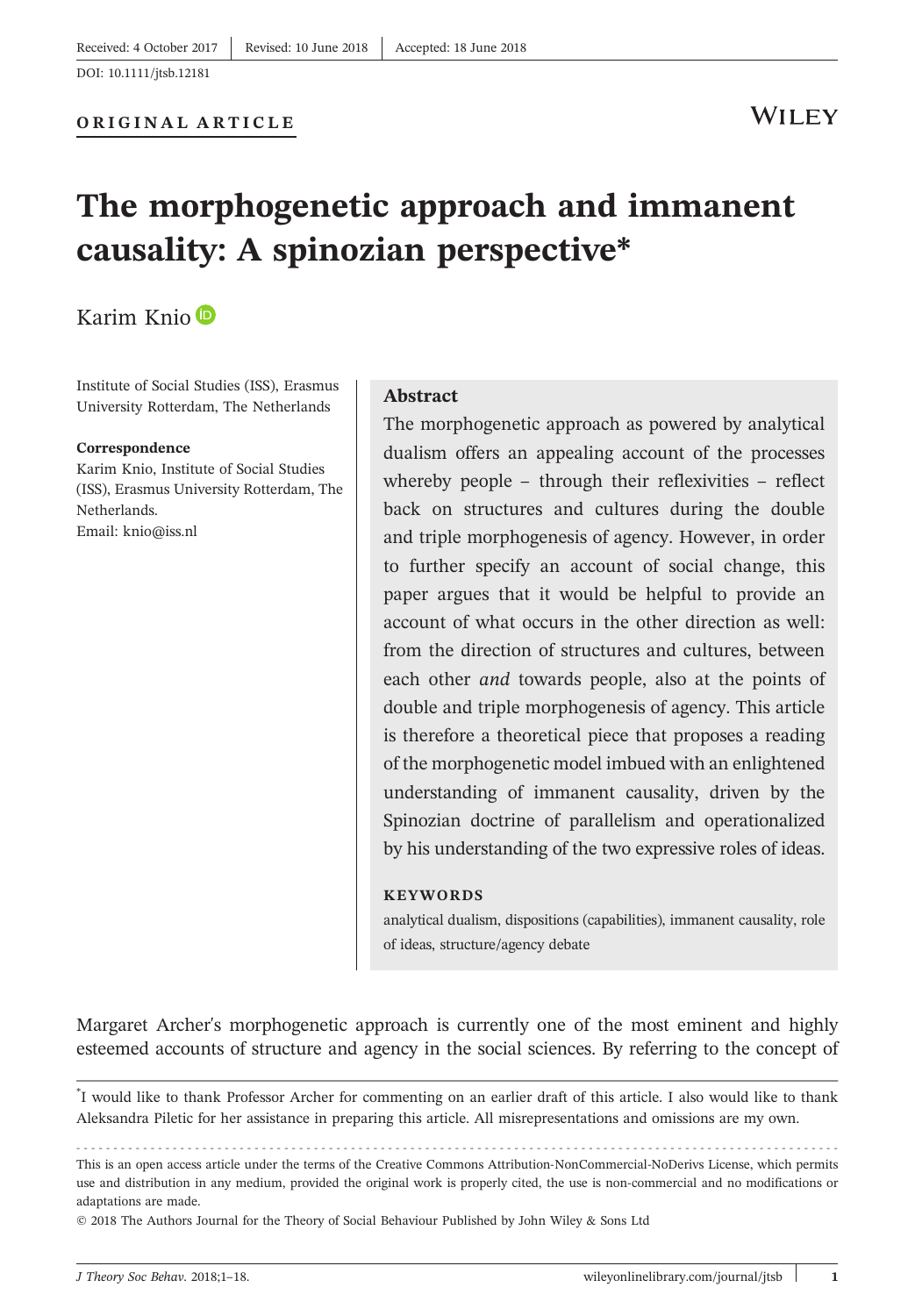# **The morphogenetic approach and immanent causality: A spinozian perspective\***

## Karim Knio

Institute of Social Studies (ISS), Erasmus University Rotterdam, The Netherlands

#### **Correspondence**

Karim Knio, Institute of Social Studies (ISS), Erasmus University Rotterdam, The Netherlands. Email: [knio@iss.nl](mailto:knio@iss.nl)

#### **Abstract**

The morphogenetic approach as powered by analytical dualism offers an appealing account of the processes whereby people – through their reflexivities – reflect back on structures and cultures during the double and triple morphogenesis of agency. However, in order to further specify an account of social change, this paper argues that it would be helpful to provide an account of what occurs in the other direction as well: from the direction of structures and cultures, between each other *and* towards people, also at the points of double and triple morphogenesis of agency. This article is therefore a theoretical piece that proposes a reading of the morphogenetic model imbued with an enlightened understanding of immanent causality, driven by the Spinozian doctrine of parallelism and operationalized by his understanding of the two expressive roles of ideas.

#### **KEYWORDS**

analytical dualism, dispositions (capabilities), immanent causality, role of ideas, structure/agency debate

Margaret Archer's morphogenetic approach is currently one of the most eminent and highly esteemed accounts of structure and agency in the social sciences. By referring to the concept of

\* I would like to thank Professor Archer for commenting on an earlier draft of this article. I also would like to thank Aleksandra Piletic for her assistance in preparing this article. All misrepresentations and omissions are my own.

-------------------------------------------------------------------------------------------------------

This is an open access article under the terms of the [Creative Commons Attribution](http://creativecommons.org/licenses/by-nc-nd/4.0/)‐NonCommercial‐NoDerivs License, which permits use and distribution in any medium, provided the original work is properly cited, the use is non‐commercial and no modifications or adaptations are made.

<sup>© 2018</sup> The Authors Journal for the Theory of Social Behaviour Published by John Wiley & Sons Ltd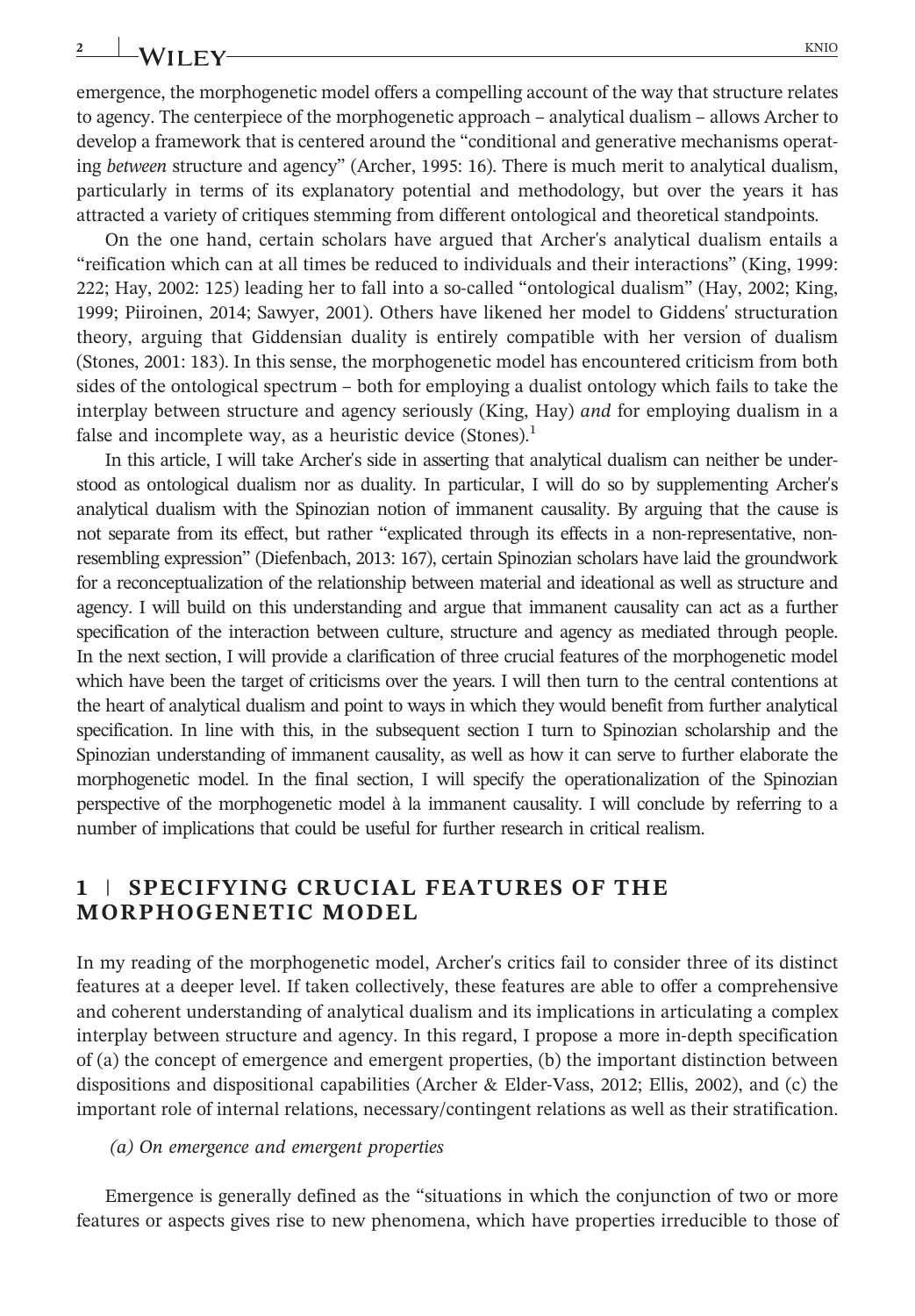emergence, the morphogenetic model offers a compelling account of the way that structure relates to agency. The centerpiece of the morphogenetic approach – analytical dualism – allows Archer to develop a framework that is centered around the "conditional and generative mechanisms operating *between* structure and agency" (Archer, 1995: 16). There is much merit to analytical dualism, particularly in terms of its explanatory potential and methodology, but over the years it has attracted a variety of critiques stemming from different ontological and theoretical standpoints.

On the one hand, certain scholars have argued that Archer's analytical dualism entails a "reification which can at all times be reduced to individuals and their interactions" (King, 1999: 222; Hay, 2002: 125) leading her to fall into a so‐called "ontological dualism" (Hay, 2002; King, 1999; Piiroinen, 2014; Sawyer, 2001). Others have likened her model to Giddens' structuration theory, arguing that Giddensian duality is entirely compatible with her version of dualism (Stones, 2001: 183). In this sense, the morphogenetic model has encountered criticism from both sides of the ontological spectrum – both for employing a dualist ontology which fails to take the interplay between structure and agency seriously (King, Hay) *and* for employing dualism in a false and incomplete way, as a heuristic device  $(Stones)^{1}$ .

In this article, I will take Archer's side in asserting that analytical dualism can neither be understood as ontological dualism nor as duality. In particular, I will do so by supplementing Archer's analytical dualism with the Spinozian notion of immanent causality. By arguing that the cause is not separate from its effect, but rather "explicated through its effects in a non-representative, nonresembling expression" (Diefenbach, 2013: 167), certain Spinozian scholars have laid the groundwork for a reconceptualization of the relationship between material and ideational as well as structure and agency. I will build on this understanding and argue that immanent causality can act as a further specification of the interaction between culture, structure and agency as mediated through people. In the next section, I will provide a clarification of three crucial features of the morphogenetic model which have been the target of criticisms over the years. I will then turn to the central contentions at the heart of analytical dualism and point to ways in which they would benefit from further analytical specification. In line with this, in the subsequent section I turn to Spinozian scholarship and the Spinozian understanding of immanent causality, as well as how it can serve to further elaborate the morphogenetic model. In the final section, I will specify the operationalization of the Spinozian perspective of the morphogenetic model à la immanent causality. I will conclude by referring to a number of implications that could be useful for further research in critical realism.

## **1** | **SPECIFYING CRUCIAL FEATURES OF THE MORPHOGENETIC MODEL**

In my reading of the morphogenetic model, Archer's critics fail to consider three of its distinct features at a deeper level. If taken collectively, these features are able to offer a comprehensive and coherent understanding of analytical dualism and its implications in articulating a complex interplay between structure and agency. In this regard, I propose a more in‐depth specification of (a) the concept of emergence and emergent properties, (b) the important distinction between dispositions and dispositional capabilities (Archer & Elder‐Vass, 2012; Ellis, 2002), and (c) the important role of internal relations, necessary/contingent relations as well as their stratification.

#### *(a) On emergence and emergent properties*

Emergence is generally defined as the "situations in which the conjunction of two or more features or aspects gives rise to new phenomena, which have properties irreducible to those of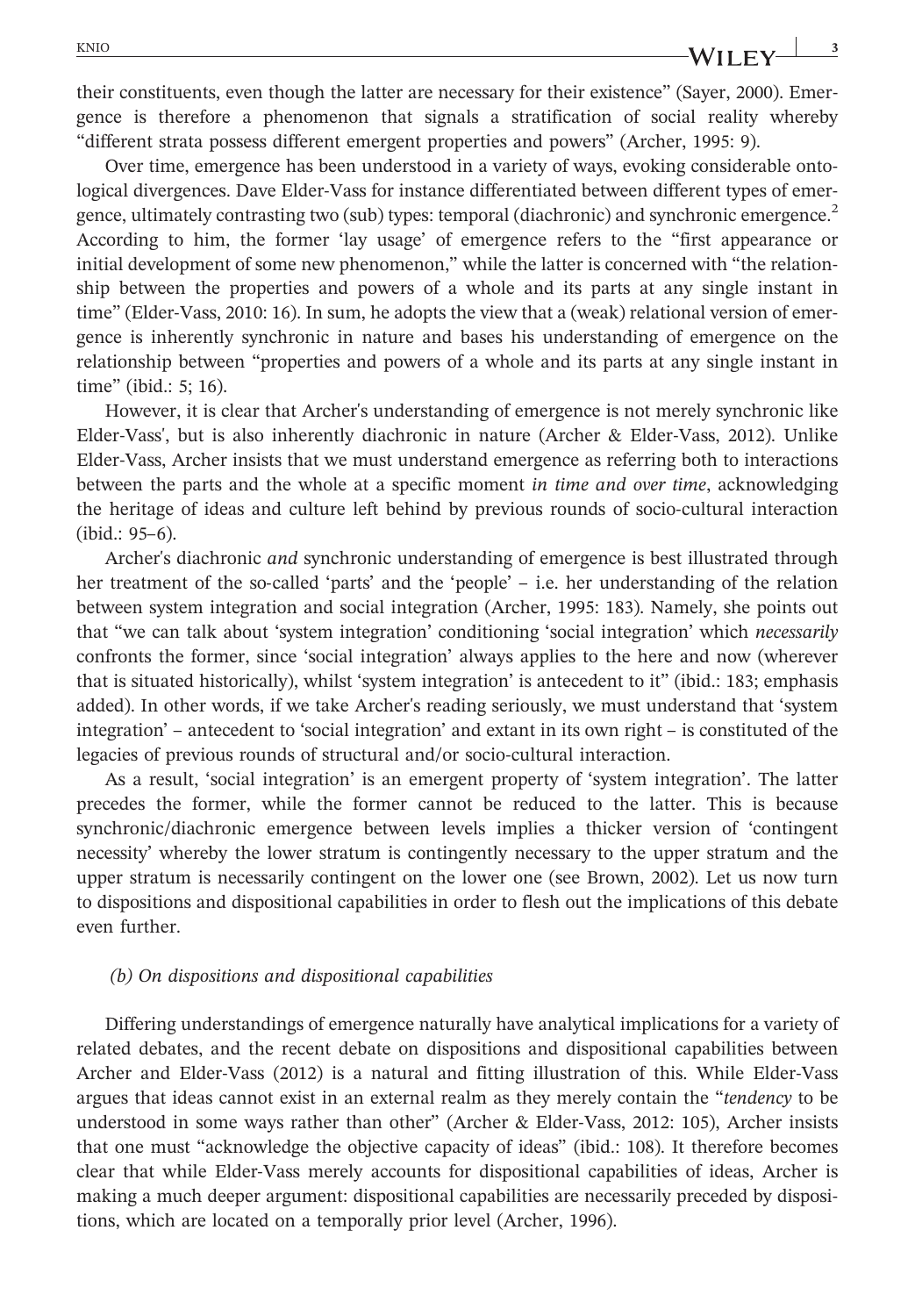$\frac{1}{2}$   $\frac{1}{2}$   $\frac{3}{2}$   $\frac{3}{2}$   $\frac{3}{2}$   $\frac{3}{2}$   $\frac{3}{2}$   $\frac{3}{2}$   $\frac{3}{2}$   $\frac{3}{2}$   $\frac{3}{2}$   $\frac{3}{2}$   $\frac{3}{2}$   $\frac{3}{2}$   $\frac{3}{2}$   $\frac{3}{2}$   $\frac{3}{2}$   $\frac{3}{2}$   $\frac{3}{2}$   $\frac{3}{2}$   $\frac{3}{2}$   $\frac{3}{2}$ 

their constituents, even though the latter are necessary for their existence" (Sayer, 2000). Emergence is therefore a phenomenon that signals a stratification of social reality whereby "different strata possess different emergent properties and powers" (Archer, 1995: 9).

Over time, emergence has been understood in a variety of ways, evoking considerable ontological divergences. Dave Elder‐Vass for instance differentiated between different types of emergence, ultimately contrasting two (sub) types: temporal (diachronic) and synchronic emergence.<sup>2</sup> According to him, the former 'lay usage' of emergence refers to the "first appearance or initial development of some new phenomenon," while the latter is concerned with "the relationship between the properties and powers of a whole and its parts at any single instant in time" (Elder‐Vass, 2010: 16). In sum, he adopts the view that a (weak) relational version of emergence is inherently synchronic in nature and bases his understanding of emergence on the relationship between "properties and powers of a whole and its parts at any single instant in time" (ibid.: 5; 16).

However, it is clear that Archer's understanding of emergence is not merely synchronic like Elder‐Vass', but is also inherently diachronic in nature (Archer & Elder‐Vass, 2012). Unlike Elder‐Vass, Archer insists that we must understand emergence as referring both to interactions between the parts and the whole at a specific moment *in time and over time*, acknowledging the heritage of ideas and culture left behind by previous rounds of socio‐cultural interaction (ibid.: 95–6).

Archer's diachronic *and* synchronic understanding of emergence is best illustrated through her treatment of the so-called 'parts' and the 'people' – i.e. her understanding of the relation between system integration and social integration (Archer, 1995: 183). Namely, she points out that "we can talk about 'system integration' conditioning 'social integration' which *necessarily* confronts the former, since 'social integration' always applies to the here and now (wherever that is situated historically), whilst 'system integration' is antecedent to it" (ibid.: 183; emphasis added). In other words, if we take Archer's reading seriously, we must understand that 'system integration' – antecedent to 'social integration' and extant in its own right – is constituted of the legacies of previous rounds of structural and/or socio‐cultural interaction.

As a result, 'social integration' is an emergent property of 'system integration'. The latter precedes the former, while the former cannot be reduced to the latter. This is because synchronic/diachronic emergence between levels implies a thicker version of 'contingent necessity' whereby the lower stratum is contingently necessary to the upper stratum and the upper stratum is necessarily contingent on the lower one (see Brown, 2002). Let us now turn to dispositions and dispositional capabilities in order to flesh out the implications of this debate even further.

#### *(b) On dispositions and dispositional capabilities*

Differing understandings of emergence naturally have analytical implications for a variety of related debates, and the recent debate on dispositions and dispositional capabilities between Archer and Elder‐Vass (2012) is a natural and fitting illustration of this. While Elder‐Vass argues that ideas cannot exist in an external realm as they merely contain the "*tendency* to be understood in some ways rather than other" (Archer & Elder-Vass, 2012: 105), Archer insists that one must "acknowledge the objective capacity of ideas" (ibid.: 108). It therefore becomes clear that while Elder‐Vass merely accounts for dispositional capabilities of ideas, Archer is making a much deeper argument: dispositional capabilities are necessarily preceded by dispositions, which are located on a temporally prior level (Archer, 1996).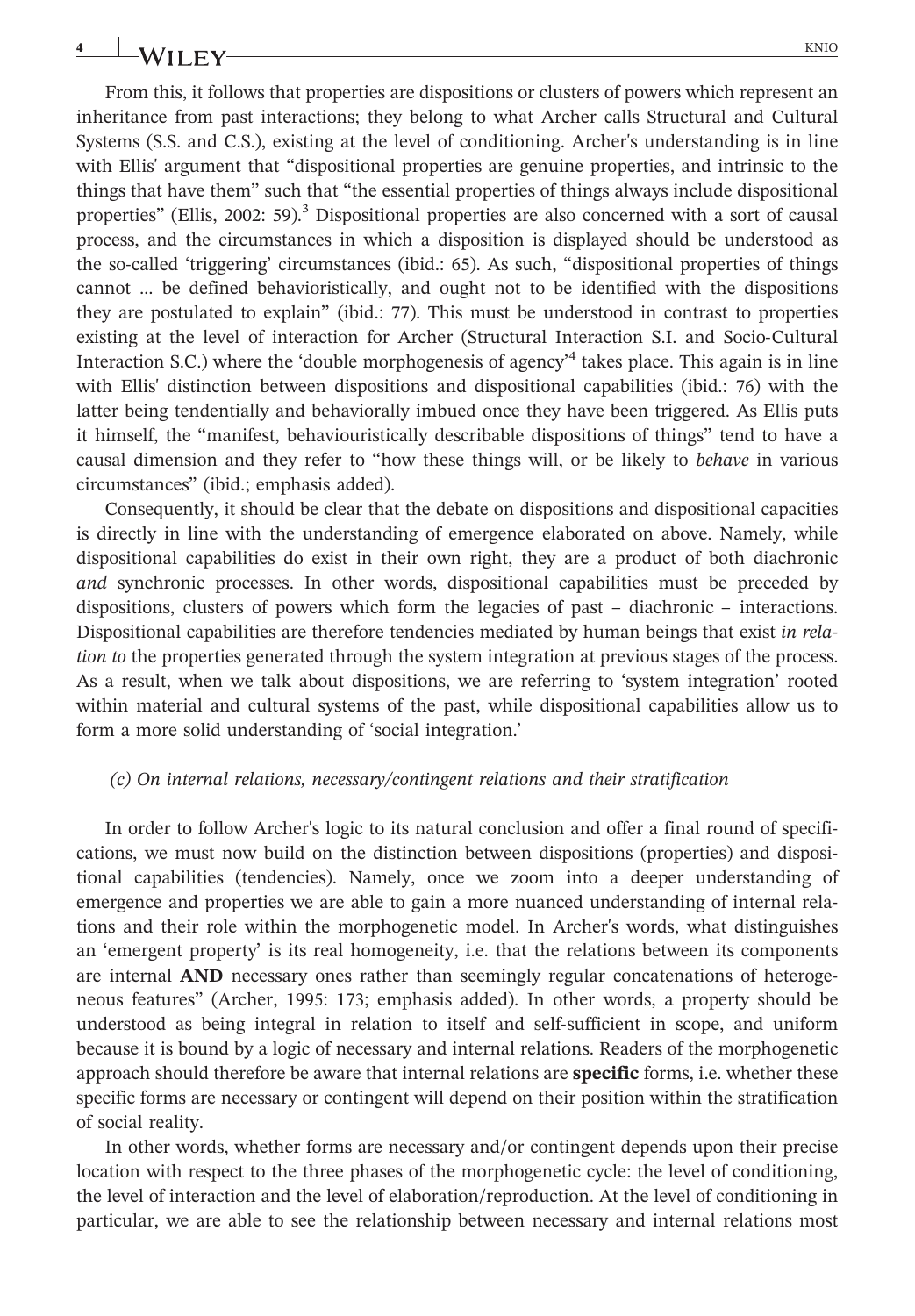From this, it follows that properties are dispositions or clusters of powers which represent an inheritance from past interactions; they belong to what Archer calls Structural and Cultural Systems (S.S. and C.S.), existing at the level of conditioning. Archer's understanding is in line with Ellis' argument that "dispositional properties are genuine properties, and intrinsic to the things that have them" such that "the essential properties of things always include dispositional properties" (Ellis, 2002: 59).<sup>3</sup> Dispositional properties are also concerned with a sort of causal process, and the circumstances in which a disposition is displayed should be understood as the so‐called 'triggering' circumstances (ibid.: 65). As such, "dispositional properties of things cannot … be defined behavioristically, and ought not to be identified with the dispositions they are postulated to explain" (ibid.: 77). This must be understood in contrast to properties existing at the level of interaction for Archer (Structural Interaction S.I. and Socio‐Cultural Interaction S.C.) where the 'double morphogenesis of agency' <sup>4</sup> takes place. This again is in line with Ellis' distinction between dispositions and dispositional capabilities (ibid.: 76) with the latter being tendentially and behaviorally imbued once they have been triggered. As Ellis puts it himself, the "manifest, behaviouristically describable dispositions of things" tend to have a causal dimension and they refer to "how these things will, or be likely to *behave* in various circumstances" (ibid.; emphasis added).

Consequently, it should be clear that the debate on dispositions and dispositional capacities is directly in line with the understanding of emergence elaborated on above. Namely, while dispositional capabilities do exist in their own right, they are a product of both diachronic *and* synchronic processes. In other words, dispositional capabilities must be preceded by dispositions, clusters of powers which form the legacies of past – diachronic – interactions. Dispositional capabilities are therefore tendencies mediated by human beings that exist *in relation to* the properties generated through the system integration at previous stages of the process. As a result, when we talk about dispositions, we are referring to 'system integration' rooted within material and cultural systems of the past, while dispositional capabilities allow us to form a more solid understanding of 'social integration.'

#### *(c) On internal relations, necessary/contingent relations and their stratification*

In order to follow Archer's logic to its natural conclusion and offer a final round of specifications, we must now build on the distinction between dispositions (properties) and dispositional capabilities (tendencies). Namely, once we zoom into a deeper understanding of emergence and properties we are able to gain a more nuanced understanding of internal relations and their role within the morphogenetic model. In Archer's words, what distinguishes an 'emergent property' is its real homogeneity, i.e. that the relations between its components are internal **AND** necessary ones rather than seemingly regular concatenations of heterogeneous features" (Archer, 1995: 173; emphasis added). In other words, a property should be understood as being integral in relation to itself and self‐sufficient in scope, and uniform because it is bound by a logic of necessary and internal relations. Readers of the morphogenetic approach should therefore be aware that internal relations are **specific** forms, i.e. whether these specific forms are necessary or contingent will depend on their position within the stratification of social reality.

In other words, whether forms are necessary and/or contingent depends upon their precise location with respect to the three phases of the morphogenetic cycle: the level of conditioning, the level of interaction and the level of elaboration/reproduction. At the level of conditioning in particular, we are able to see the relationship between necessary and internal relations most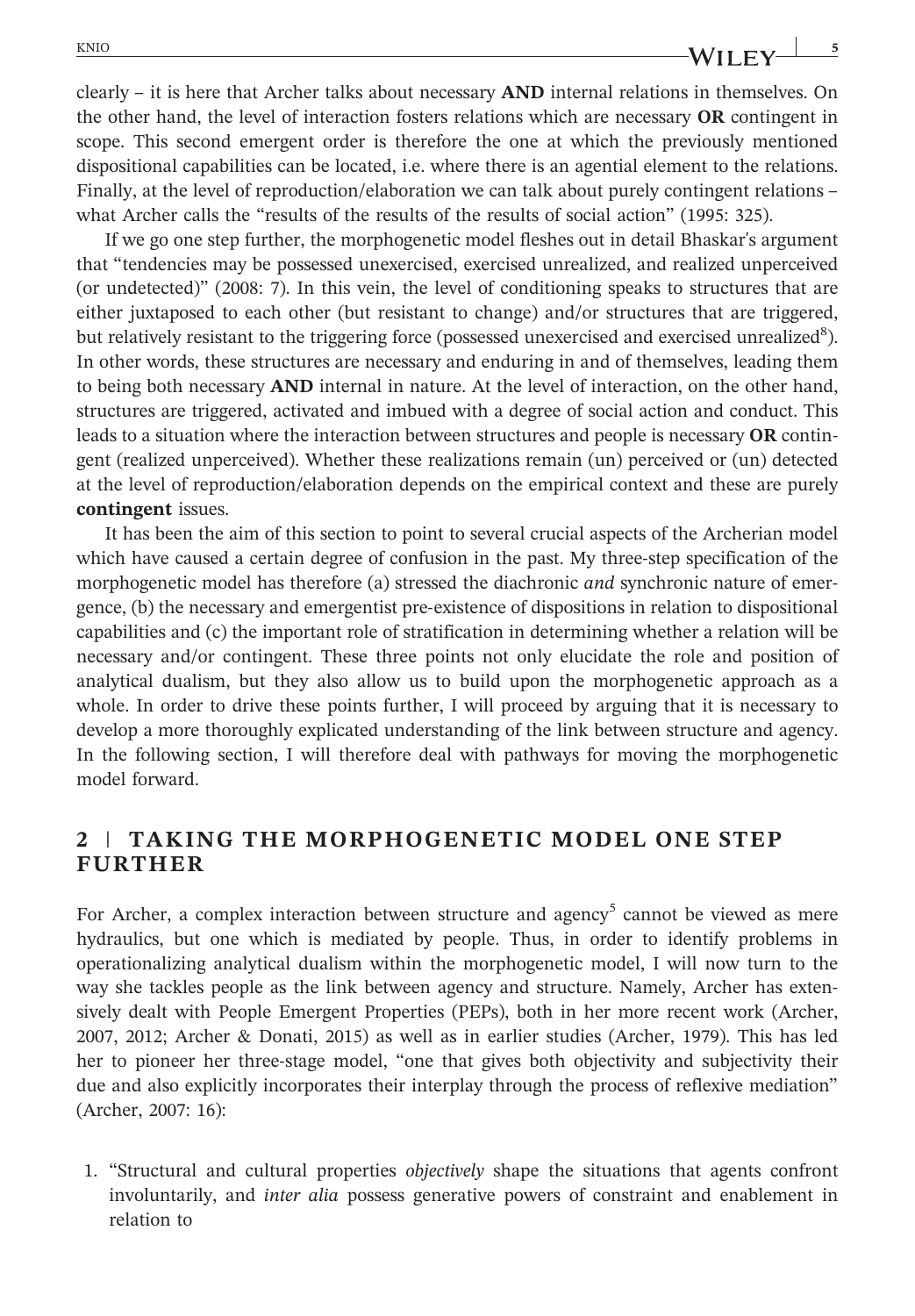#### KNIO **5**

clearly – it is here that Archer talks about necessary **AND** internal relations in themselves. On the other hand, the level of interaction fosters relations which are necessary **OR** contingent in scope. This second emergent order is therefore the one at which the previously mentioned dispositional capabilities can be located, i.e. where there is an agential element to the relations. Finally, at the level of reproduction/elaboration we can talk about purely contingent relations – what Archer calls the "results of the results of the results of social action" (1995: 325).

If we go one step further, the morphogenetic model fleshes out in detail Bhaskar's argument that "tendencies may be possessed unexercised, exercised unrealized, and realized unperceived (or undetected)" (2008: 7). In this vein, the level of conditioning speaks to structures that are either juxtaposed to each other (but resistant to change) and/or structures that are triggered, but relatively resistant to the triggering force (possessed unexercised and exercised unrealized $^8$ ). In other words, these structures are necessary and enduring in and of themselves, leading them to being both necessary **AND** internal in nature. At the level of interaction, on the other hand, structures are triggered, activated and imbued with a degree of social action and conduct. This leads to a situation where the interaction between structures and people is necessary **OR** contingent (realized unperceived). Whether these realizations remain (un) perceived or (un) detected at the level of reproduction/elaboration depends on the empirical context and these are purely **contingent** issues.

It has been the aim of this section to point to several crucial aspects of the Archerian model which have caused a certain degree of confusion in the past. My three-step specification of the morphogenetic model has therefore (a) stressed the diachronic *and* synchronic nature of emergence, (b) the necessary and emergentist pre‐existence of dispositions in relation to dispositional capabilities and (c) the important role of stratification in determining whether a relation will be necessary and/or contingent. These three points not only elucidate the role and position of analytical dualism, but they also allow us to build upon the morphogenetic approach as a whole. In order to drive these points further, I will proceed by arguing that it is necessary to develop a more thoroughly explicated understanding of the link between structure and agency. In the following section, I will therefore deal with pathways for moving the morphogenetic model forward.

## **2** | **TAKING THE MORPHOGENETIC MODEL ONE STEP FURTHER**

For Archer, a complex interaction between structure and agency<sup>5</sup> cannot be viewed as mere hydraulics, but one which is mediated by people. Thus, in order to identify problems in operationalizing analytical dualism within the morphogenetic model, I will now turn to the way she tackles people as the link between agency and structure. Namely, Archer has extensively dealt with People Emergent Properties (PEPs), both in her more recent work (Archer, 2007, 2012; Archer & Donati, 2015) as well as in earlier studies (Archer, 1979). This has led her to pioneer her three‐stage model, "one that gives both objectivity and subjectivity their due and also explicitly incorporates their interplay through the process of reflexive mediation" (Archer, 2007: 16):

1. "Structural and cultural properties *objectively* shape the situations that agents confront involuntarily, and *inter alia* possess generative powers of constraint and enablement in relation to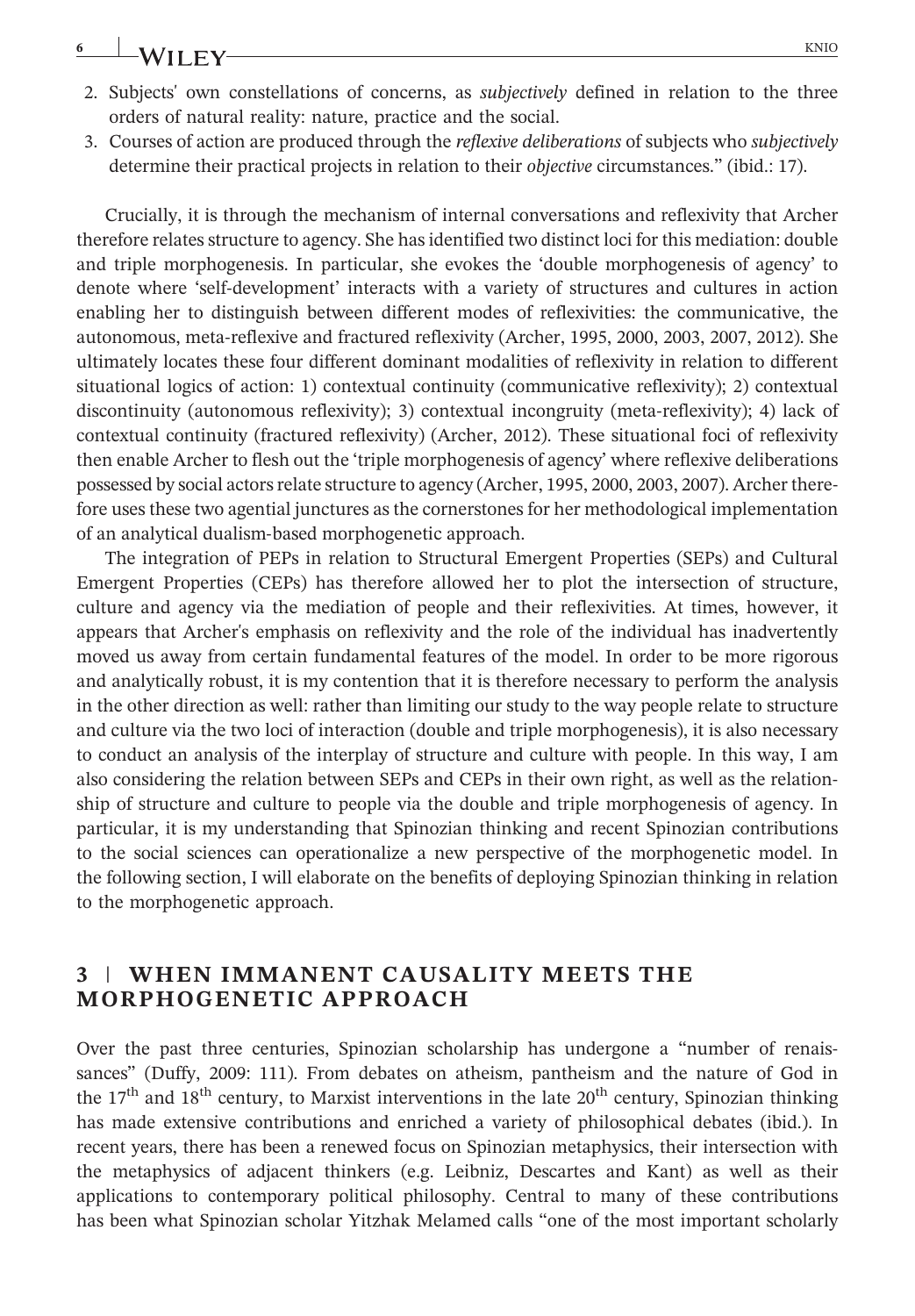**6** KNIO

- 2. Subjects' own constellations of concerns, as *subjectively* defined in relation to the three orders of natural reality: nature, practice and the social.
- 3. Courses of action are produced through the *reflexive deliberations* of subjects who *subjectively* determine their practical projects in relation to their *objective* circumstances." (ibid.: 17).

Crucially, it is through the mechanism of internal conversations and reflexivity that Archer therefore relates structure to agency. She has identified two distinct loci for this mediation: double and triple morphogenesis. In particular, she evokes the 'double morphogenesis of agency' to denote where 'self‐development' interacts with a variety of structures and cultures in action enabling her to distinguish between different modes of reflexivities: the communicative, the autonomous, meta‐reflexive and fractured reflexivity (Archer, 1995, 2000, 2003, 2007, 2012). She ultimately locates these four different dominant modalities of reflexivity in relation to different situational logics of action: 1) contextual continuity (communicative reflexivity); 2) contextual discontinuity (autonomous reflexivity); 3) contextual incongruity (meta‐reflexivity); 4) lack of contextual continuity (fractured reflexivity) (Archer, 2012). These situational foci of reflexivity then enable Archer to flesh out the 'triple morphogenesis of agency' where reflexive deliberations possessed by social actors relate structure to agency (Archer, 1995, 2000, 2003, 2007). Archer therefore uses these two agential junctures as the cornerstones for her methodological implementation of an analytical dualism‐based morphogenetic approach.

The integration of PEPs in relation to Structural Emergent Properties (SEPs) and Cultural Emergent Properties (CEPs) has therefore allowed her to plot the intersection of structure, culture and agency via the mediation of people and their reflexivities. At times, however, it appears that Archer's emphasis on reflexivity and the role of the individual has inadvertently moved us away from certain fundamental features of the model. In order to be more rigorous and analytically robust, it is my contention that it is therefore necessary to perform the analysis in the other direction as well: rather than limiting our study to the way people relate to structure and culture via the two loci of interaction (double and triple morphogenesis), it is also necessary to conduct an analysis of the interplay of structure and culture with people. In this way, I am also considering the relation between SEPs and CEPs in their own right, as well as the relationship of structure and culture to people via the double and triple morphogenesis of agency. In particular, it is my understanding that Spinozian thinking and recent Spinozian contributions to the social sciences can operationalize a new perspective of the morphogenetic model. In the following section, I will elaborate on the benefits of deploying Spinozian thinking in relation to the morphogenetic approach.

## **3** | **WHEN IMMANENT CAUSALITY MEETS THE MORPHOGENETIC APPROACH**

Over the past three centuries, Spinozian scholarship has undergone a "number of renaissances" (Duffy, 2009: 111). From debates on atheism, pantheism and the nature of God in the  $17<sup>th</sup>$  and  $18<sup>th</sup>$  century, to Marxist interventions in the late  $20<sup>th</sup>$  century, Spinozian thinking has made extensive contributions and enriched a variety of philosophical debates (ibid.). In recent years, there has been a renewed focus on Spinozian metaphysics, their intersection with the metaphysics of adjacent thinkers (e.g. Leibniz, Descartes and Kant) as well as their applications to contemporary political philosophy. Central to many of these contributions has been what Spinozian scholar Yitzhak Melamed calls "one of the most important scholarly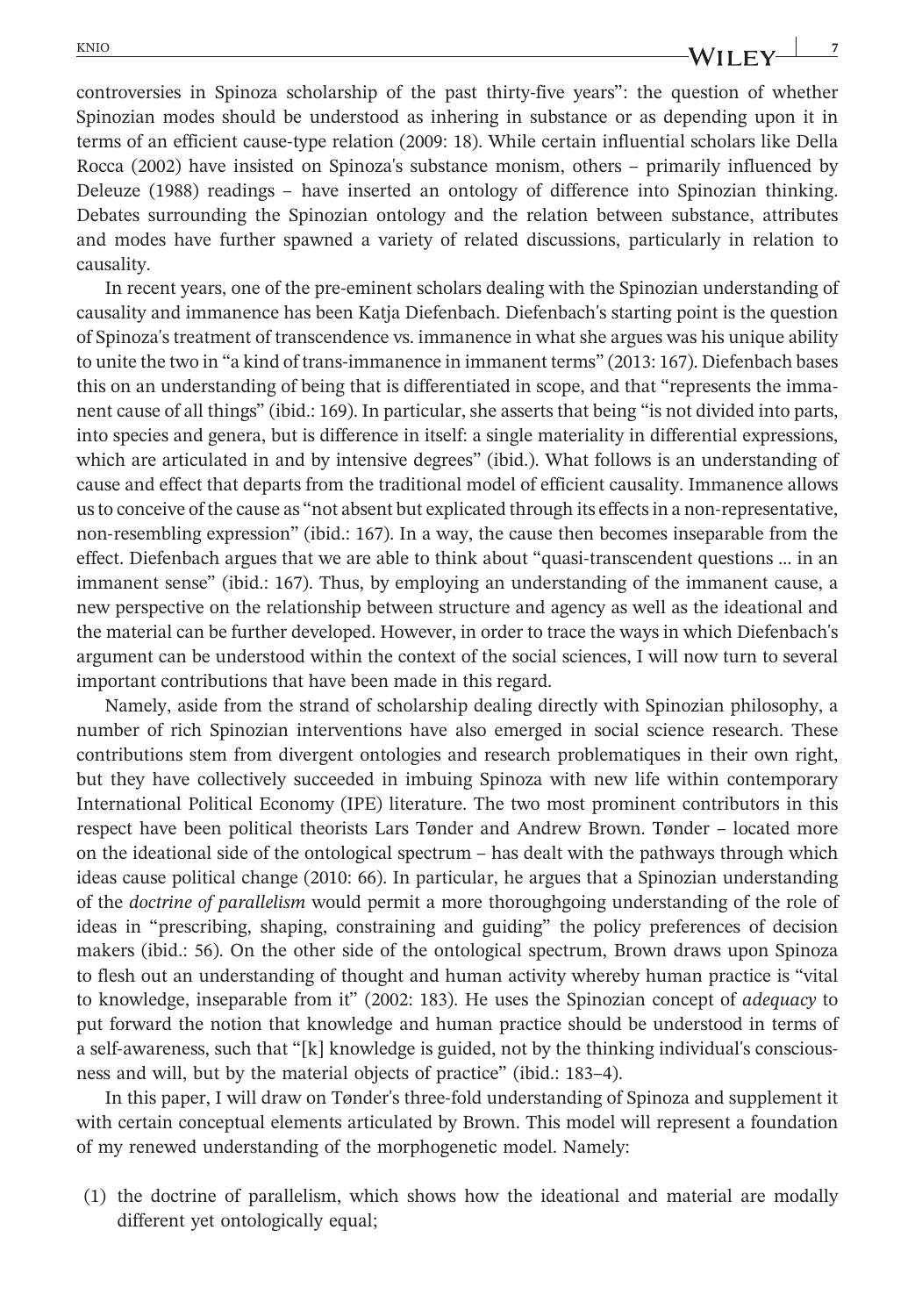#### $\frac{1}{2}$   $\frac{1}{2}$   $\frac{1}{2}$   $\frac{1}{2}$   $\frac{1}{2}$   $\frac{1}{2}$   $\frac{1}{2}$   $\frac{1}{2}$   $\frac{1}{2}$   $\frac{1}{2}$   $\frac{1}{2}$   $\frac{1}{2}$   $\frac{1}{2}$   $\frac{1}{2}$   $\frac{1}{2}$   $\frac{1}{2}$   $\frac{1}{2}$   $\frac{1}{2}$   $\frac{1}{2}$   $\frac{1}{2}$   $\frac{1}{2}$   $\frac{1}{2}$

controversies in Spinoza scholarship of the past thirty-five years": the question of whether Spinozian modes should be understood as inhering in substance or as depending upon it in terms of an efficient cause‐type relation (2009: 18). While certain influential scholars like Della Rocca (2002) have insisted on Spinoza's substance monism, others – primarily influenced by Deleuze (1988) readings – have inserted an ontology of difference into Spinozian thinking. Debates surrounding the Spinozian ontology and the relation between substance, attributes and modes have further spawned a variety of related discussions, particularly in relation to causality.

In recent years, one of the pre‐eminent scholars dealing with the Spinozian understanding of causality and immanence has been Katja Diefenbach. Diefenbach's starting point is the question of Spinoza's treatment of transcendence vs. immanence in what she argues was his unique ability to unite the two in "a kind of trans‐immanence in immanent terms" (2013: 167). Diefenbach bases this on an understanding of being that is differentiated in scope, and that "represents the immanent cause of all things" (ibid.: 169). In particular, she asserts that being "is not divided into parts, into species and genera, but is difference in itself: a single materiality in differential expressions, which are articulated in and by intensive degrees" (ibid.). What follows is an understanding of cause and effect that departs from the traditional model of efficient causality. Immanence allows us to conceive of the cause as "not absent but explicated through its effects in a non-representative, non‐resembling expression" (ibid.: 167). In a way, the cause then becomes inseparable from the effect. Diefenbach argues that we are able to think about "quasi-transcendent questions ... in an immanent sense" (ibid.: 167). Thus, by employing an understanding of the immanent cause, a new perspective on the relationship between structure and agency as well as the ideational and the material can be further developed. However, in order to trace the ways in which Diefenbach's argument can be understood within the context of the social sciences, I will now turn to several important contributions that have been made in this regard.

Namely, aside from the strand of scholarship dealing directly with Spinozian philosophy, a number of rich Spinozian interventions have also emerged in social science research. These contributions stem from divergent ontologies and research problematiques in their own right, but they have collectively succeeded in imbuing Spinoza with new life within contemporary International Political Economy (IPE) literature. The two most prominent contributors in this respect have been political theorists Lars Tønder and Andrew Brown. Tønder – located more on the ideational side of the ontological spectrum – has dealt with the pathways through which ideas cause political change (2010: 66). In particular, he argues that a Spinozian understanding of the *doctrine of parallelism* would permit a more thoroughgoing understanding of the role of ideas in "prescribing, shaping, constraining and guiding" the policy preferences of decision makers (ibid.: 56). On the other side of the ontological spectrum, Brown draws upon Spinoza to flesh out an understanding of thought and human activity whereby human practice is "vital to knowledge, inseparable from it" (2002: 183). He uses the Spinozian concept of *adequacy* to put forward the notion that knowledge and human practice should be understood in terms of a self-awareness, such that "[k] knowledge is guided, not by the thinking individual's consciousness and will, but by the material objects of practice" (ibid.: 183–4).

In this paper, I will draw on Tønder's three‐fold understanding of Spinoza and supplement it with certain conceptual elements articulated by Brown. This model will represent a foundation of my renewed understanding of the morphogenetic model. Namely:

(1) the doctrine of parallelism, which shows how the ideational and material are modally different yet ontologically equal;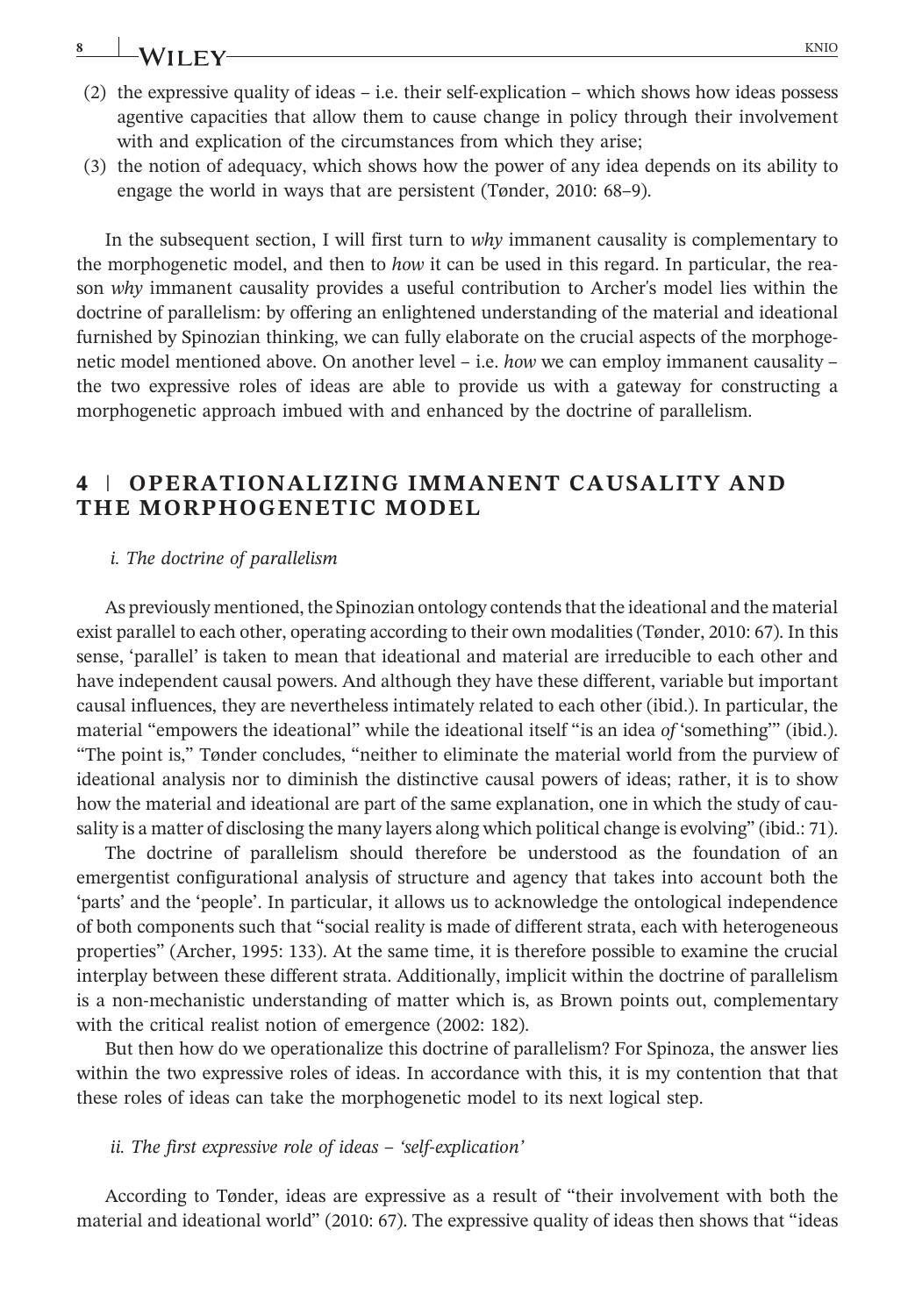- **8** KNIO
- (2) the expressive quality of ideas i.e. their self‐explication which shows how ideas possess agentive capacities that allow them to cause change in policy through their involvement with and explication of the circumstances from which they arise;
- (3) the notion of adequacy, which shows how the power of any idea depends on its ability to engage the world in ways that are persistent (Tønder, 2010: 68–9).

In the subsequent section, I will first turn to *why* immanent causality is complementary to the morphogenetic model, and then to *how* it can be used in this regard. In particular, the reason *why* immanent causality provides a useful contribution to Archer's model lies within the doctrine of parallelism: by offering an enlightened understanding of the material and ideational furnished by Spinozian thinking, we can fully elaborate on the crucial aspects of the morphogenetic model mentioned above. On another level – i.e. *how* we can employ immanent causality – the two expressive roles of ideas are able to provide us with a gateway for constructing a morphogenetic approach imbued with and enhanced by the doctrine of parallelism.

## **4** | **OPERATIONALIZING IMMANENT CAUSALITY AND THE MORPHOGENETIC MODEL**

#### *i. The doctrine of parallelism*

As previously mentioned, the Spinozian ontology contends that the ideational and the material exist parallel to each other, operating according to their own modalities (Tønder, 2010: 67). In this sense, 'parallel' is taken to mean that ideational and material are irreducible to each other and have independent causal powers. And although they have these different, variable but important causal influences, they are nevertheless intimately related to each other (ibid.). In particular, the material "empowers the ideational" while the ideational itself "is an idea *of* 'something'" (ibid.). "The point is," Tønder concludes, "neither to eliminate the material world from the purview of ideational analysis nor to diminish the distinctive causal powers of ideas; rather, it is to show how the material and ideational are part of the same explanation, one in which the study of causality is a matter of disclosing the many layers along which political change is evolving" (ibid.: 71).

The doctrine of parallelism should therefore be understood as the foundation of an emergentist configurational analysis of structure and agency that takes into account both the 'parts' and the 'people'. In particular, it allows us to acknowledge the ontological independence of both components such that "social reality is made of different strata, each with heterogeneous properties" (Archer, 1995: 133). At the same time, it is therefore possible to examine the crucial interplay between these different strata. Additionally, implicit within the doctrine of parallelism is a non-mechanistic understanding of matter which is, as Brown points out, complementary with the critical realist notion of emergence (2002: 182).

But then how do we operationalize this doctrine of parallelism? For Spinoza, the answer lies within the two expressive roles of ideas. In accordance with this, it is my contention that that these roles of ideas can take the morphogenetic model to its next logical step.

#### *ii. The first expressive role of ideas – 'self‐explication'*

According to Tønder, ideas are expressive as a result of "their involvement with both the material and ideational world" (2010: 67). The expressive quality of ideas then shows that "ideas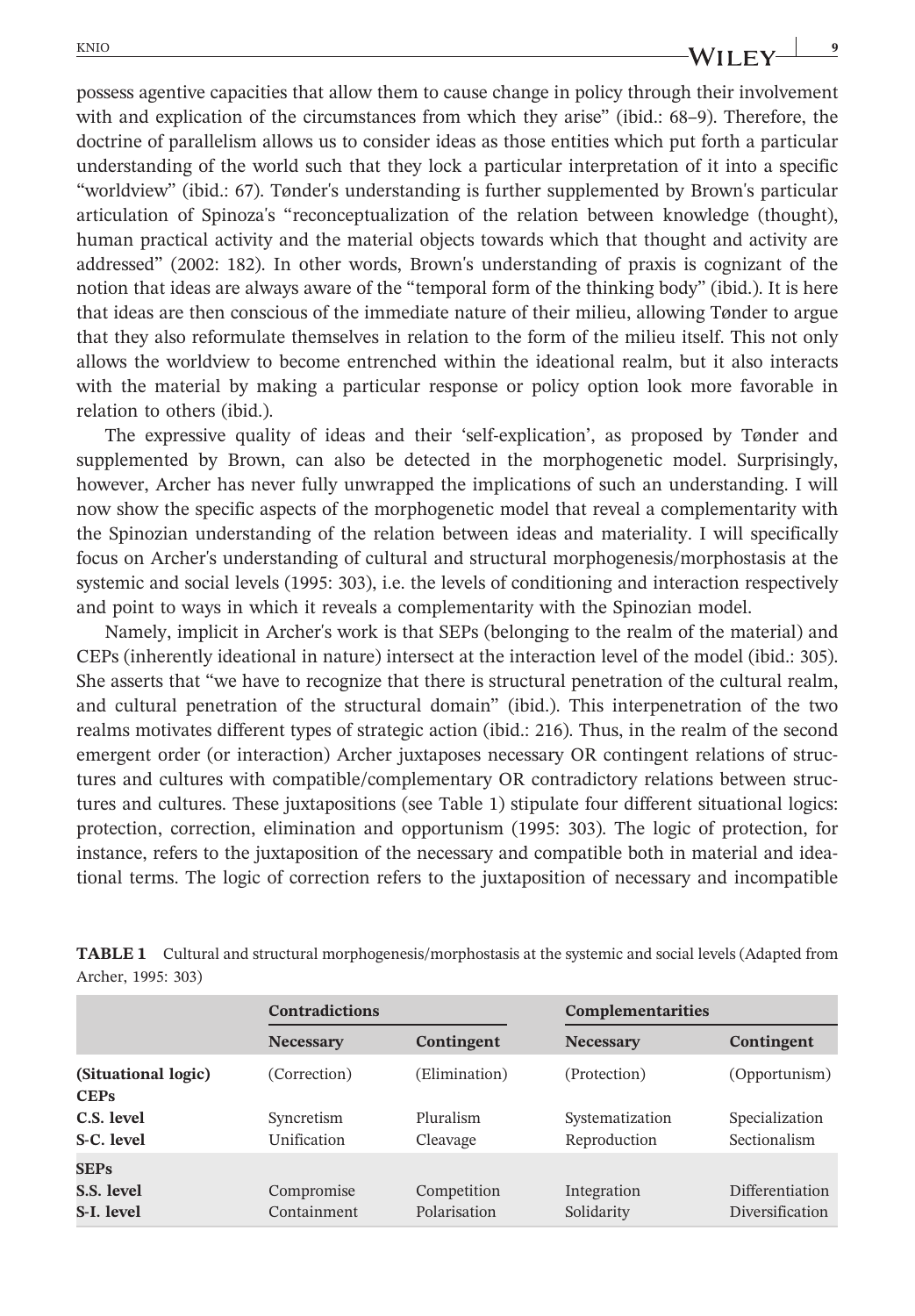## $\mathbf{M}/\mathbf{H} = \frac{9}{2}$

possess agentive capacities that allow them to cause change in policy through their involvement with and explication of the circumstances from which they arise" (ibid.: 68–9). Therefore, the doctrine of parallelism allows us to consider ideas as those entities which put forth a particular understanding of the world such that they lock a particular interpretation of it into a specific "worldview" (ibid.: 67). Tønder's understanding is further supplemented by Brown's particular articulation of Spinoza's "reconceptualization of the relation between knowledge (thought), human practical activity and the material objects towards which that thought and activity are addressed" (2002: 182). In other words, Brown's understanding of praxis is cognizant of the notion that ideas are always aware of the "temporal form of the thinking body" (ibid.). It is here that ideas are then conscious of the immediate nature of their milieu, allowing Tønder to argue that they also reformulate themselves in relation to the form of the milieu itself. This not only allows the worldview to become entrenched within the ideational realm, but it also interacts with the material by making a particular response or policy option look more favorable in relation to others (ibid.).

The expressive quality of ideas and their 'self‐explication', as proposed by Tønder and supplemented by Brown, can also be detected in the morphogenetic model. Surprisingly, however, Archer has never fully unwrapped the implications of such an understanding. I will now show the specific aspects of the morphogenetic model that reveal a complementarity with the Spinozian understanding of the relation between ideas and materiality. I will specifically focus on Archer's understanding of cultural and structural morphogenesis/morphostasis at the systemic and social levels (1995: 303), i.e. the levels of conditioning and interaction respectively and point to ways in which it reveals a complementarity with the Spinozian model.

Namely, implicit in Archer's work is that SEPs (belonging to the realm of the material) and CEPs (inherently ideational in nature) intersect at the interaction level of the model (ibid.: 305). She asserts that "we have to recognize that there is structural penetration of the cultural realm, and cultural penetration of the structural domain" (ibid.). This interpenetration of the two realms motivates different types of strategic action (ibid.: 216). Thus, in the realm of the second emergent order (or interaction) Archer juxtaposes necessary OR contingent relations of structures and cultures with compatible/complementary OR contradictory relations between structures and cultures. These juxtapositions (see Table 1) stipulate four different situational logics: protection, correction, elimination and opportunism (1995: 303). The logic of protection, for instance, refers to the juxtaposition of the necessary and compatible both in material and ideational terms. The logic of correction refers to the juxtaposition of necessary and incompatible

|                                        | <b>Contradictions</b>     |                             | Complementarities               |                                    |
|----------------------------------------|---------------------------|-----------------------------|---------------------------------|------------------------------------|
|                                        | <b>Necessary</b>          | Contingent                  | <b>Necessary</b>                | Contingent                         |
| (Situational logic)<br><b>CEPs</b>     | (Correction)              | (Elimination)               | (Protection)                    | (Opportunism)                      |
| C.S. level<br>S-C. level               | Syncretism<br>Unification | Pluralism<br>Cleavage       | Systematization<br>Reproduction | Specialization<br>Sectionalism     |
| <b>SEPs</b><br>S.S. level<br>S-L level | Compromise<br>Containment | Competition<br>Polarisation | Integration<br>Solidarity       | Differentiation<br>Diversification |

**TABLE 1** Cultural and structural morphogenesis/morphostasis at the systemic and social levels (Adapted from Archer, 1995: 303)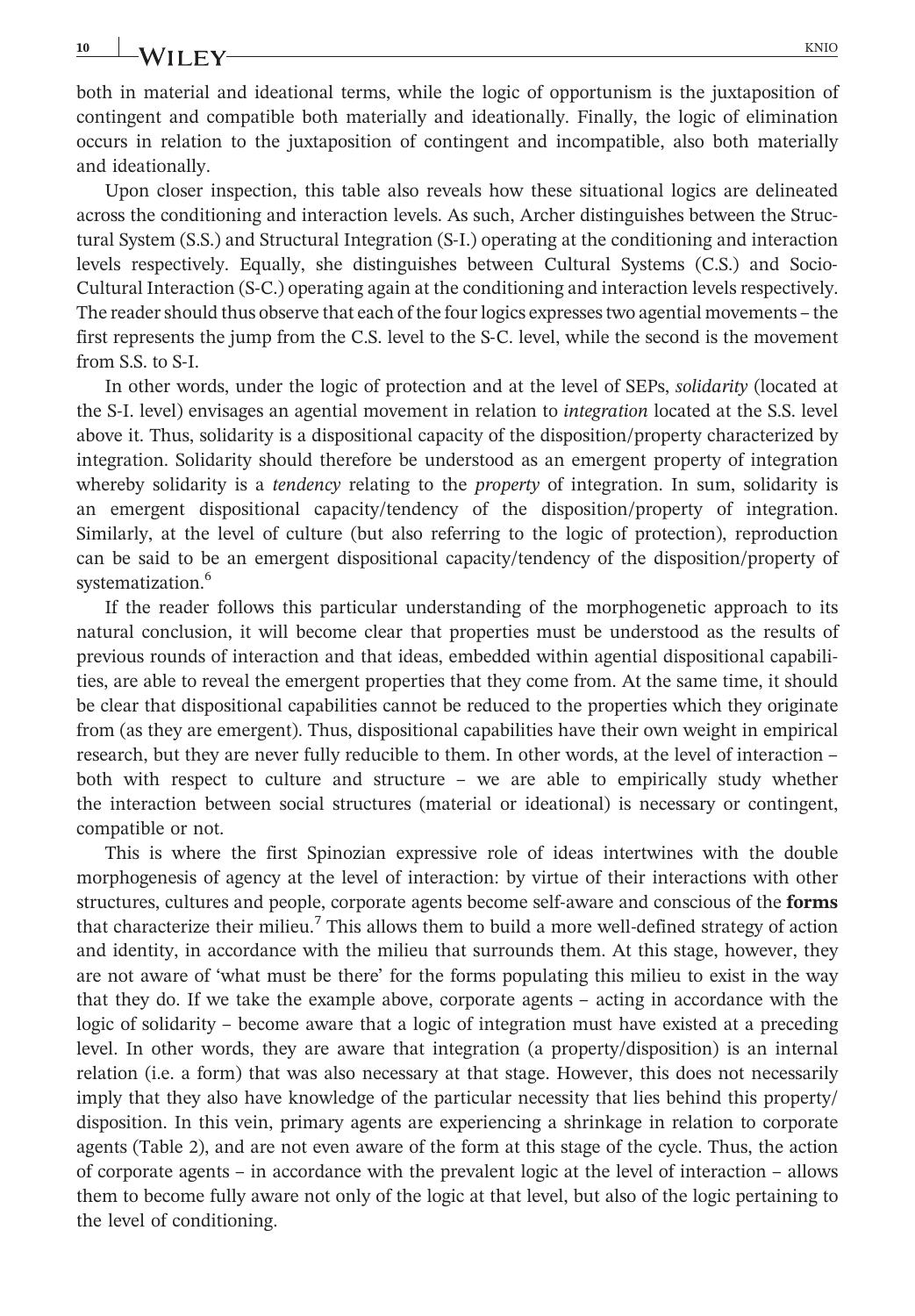both in material and ideational terms, while the logic of opportunism is the juxtaposition of contingent and compatible both materially and ideationally. Finally, the logic of elimination occurs in relation to the juxtaposition of contingent and incompatible, also both materially and ideationally.

Upon closer inspection, this table also reveals how these situational logics are delineated across the conditioning and interaction levels. As such, Archer distinguishes between the Structural System (S.S.) and Structural Integration (S‐I.) operating at the conditioning and interaction levels respectively. Equally, she distinguishes between Cultural Systems (C.S.) and Socio‐ Cultural Interaction (S‐C.) operating again at the conditioning and interaction levels respectively. The reader should thus observe that each of the four logics expresses two agential movements – the first represents the jump from the C.S. level to the S‐C. level, while the second is the movement from S.S. to S‐I.

In other words, under the logic of protection and at the level of SEPs, *solidarity* (located at the S‐I. level) envisages an agential movement in relation to *integration* located at the S.S. level above it. Thus, solidarity is a dispositional capacity of the disposition/property characterized by integration. Solidarity should therefore be understood as an emergent property of integration whereby solidarity is a *tendency* relating to the *property* of integration. In sum, solidarity is an emergent dispositional capacity/tendency of the disposition/property of integration. Similarly, at the level of culture (but also referring to the logic of protection), reproduction can be said to be an emergent dispositional capacity/tendency of the disposition/property of systematization.<sup>6</sup>

If the reader follows this particular understanding of the morphogenetic approach to its natural conclusion, it will become clear that properties must be understood as the results of previous rounds of interaction and that ideas, embedded within agential dispositional capabilities, are able to reveal the emergent properties that they come from. At the same time, it should be clear that dispositional capabilities cannot be reduced to the properties which they originate from (as they are emergent). Thus, dispositional capabilities have their own weight in empirical research, but they are never fully reducible to them. In other words, at the level of interaction – both with respect to culture and structure – we are able to empirically study whether the interaction between social structures (material or ideational) is necessary or contingent, compatible or not.

This is where the first Spinozian expressive role of ideas intertwines with the double morphogenesis of agency at the level of interaction: by virtue of their interactions with other structures, cultures and people, corporate agents become self‐aware and conscious of the **forms** that characterize their milieu.<sup>7</sup> This allows them to build a more well-defined strategy of action and identity, in accordance with the milieu that surrounds them. At this stage, however, they are not aware of 'what must be there' for the forms populating this milieu to exist in the way that they do. If we take the example above, corporate agents – acting in accordance with the logic of solidarity – become aware that a logic of integration must have existed at a preceding level. In other words, they are aware that integration (a property/disposition) is an internal relation (i.e. a form) that was also necessary at that stage. However, this does not necessarily imply that they also have knowledge of the particular necessity that lies behind this property/ disposition. In this vein, primary agents are experiencing a shrinkage in relation to corporate agents (Table 2), and are not even aware of the form at this stage of the cycle. Thus, the action of corporate agents – in accordance with the prevalent logic at the level of interaction – allows them to become fully aware not only of the logic at that level, but also of the logic pertaining to the level of conditioning.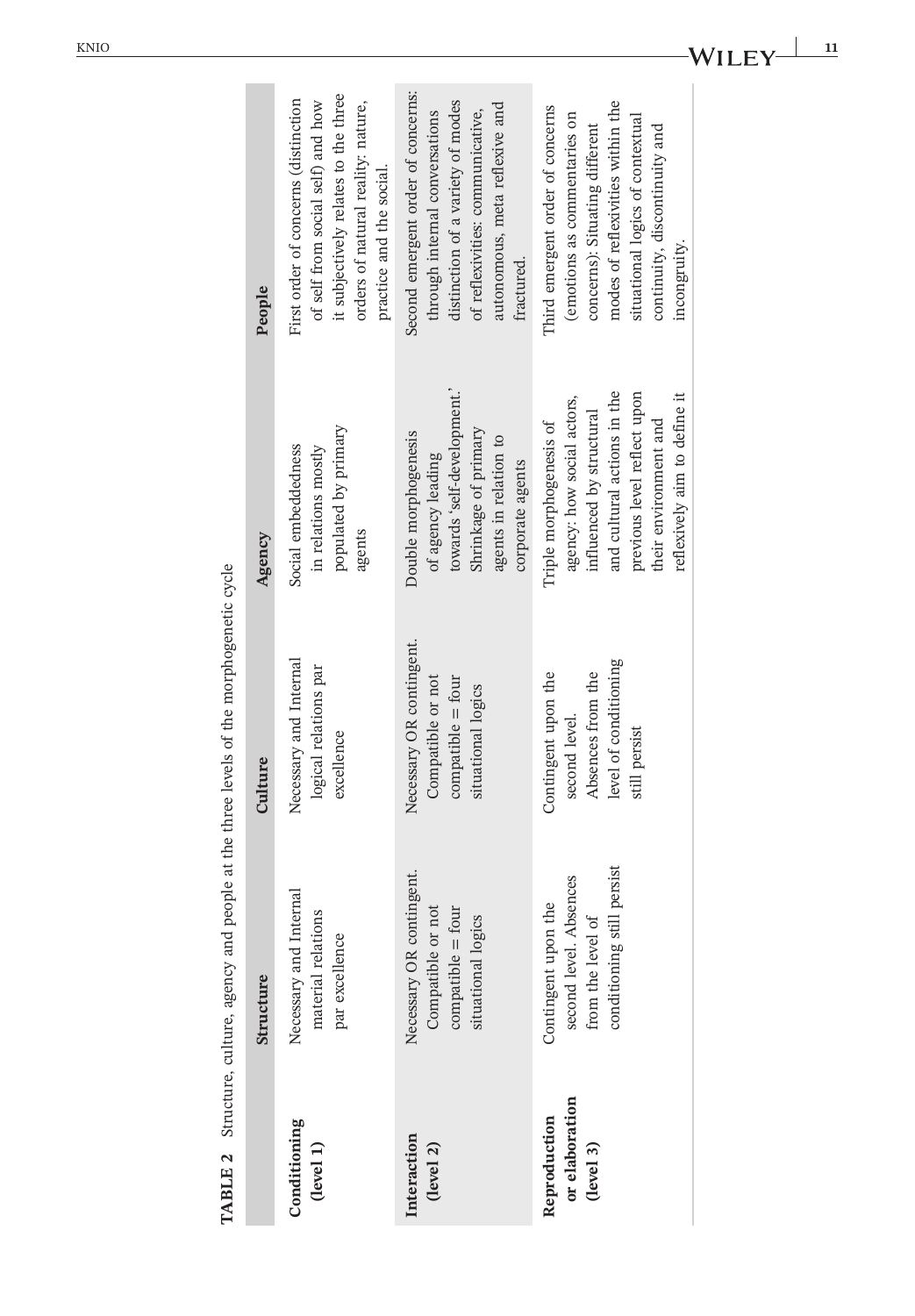| KNIO                                           |           |                                                                                                                                                                                     |                                                                                                                                                                                               |                                                                                                                                                                                                                              | $\overline{11}$ |
|------------------------------------------------|-----------|-------------------------------------------------------------------------------------------------------------------------------------------------------------------------------------|-----------------------------------------------------------------------------------------------------------------------------------------------------------------------------------------------|------------------------------------------------------------------------------------------------------------------------------------------------------------------------------------------------------------------------------|-----------------|
|                                                | People    | it subjectively relates to the three<br>First order of concerns (distinction<br>of self from social self) and how<br>orders of natural reality: nature,<br>practice and the social. | Second emergent order of concerns:<br>distinction of a variety of modes<br>autonomous, meta reflexive and<br>of reflexivities: communicative,<br>through internal conversations<br>fractured. | modes of reflexivities within the<br>Third emergent order of concerns<br>(emotions as commentaries on<br>situational logics of contextual<br>concerns): Situating different<br>continuity, discontinuity and<br>incongruity. |                 |
|                                                | Agency    | populated by primary<br>Social embeddedness<br>in relations mostly<br>agents                                                                                                        | towards 'self-development.'<br>Shrinkage of primary<br>Double morphogenesis<br>agents in relation to<br>of agency leading<br>corporate agents                                                 | and cultural actions in the<br>previous level reflect upon<br>reflexively aim to define it<br>agency: how social actors,<br>influenced by structural<br>their environment and<br>Triple morphogenesis of                     |                 |
| at the three levels of the morphogenetic cycle | Culture   | Necessary and Internal<br>logical relations par<br>excellence                                                                                                                       | Necessary OR contingent.<br>Compatible or not<br>$compatible = four$<br>situational logics                                                                                                    | level of conditioning<br>Contingent upon the<br>Absences from the<br>second level.<br>still persist                                                                                                                          |                 |
| Structure, culture, agency and people          | Structure | Necessary and Internal<br>material relations<br>par excellence                                                                                                                      | Necessary OR contingent.<br>Compatible or not<br>$compatible = four$<br>situational logics                                                                                                    | conditioning still persist<br>second level. Absences<br>Contingent upon the<br>from the level of                                                                                                                             |                 |
| <b>TABLE 2</b>                                 |           | Conditioning<br>(level 1)                                                                                                                                                           | Interaction<br>(level 2)                                                                                                                                                                      | or elaboration<br>Reproduction<br>(level 3)                                                                                                                                                                                  |                 |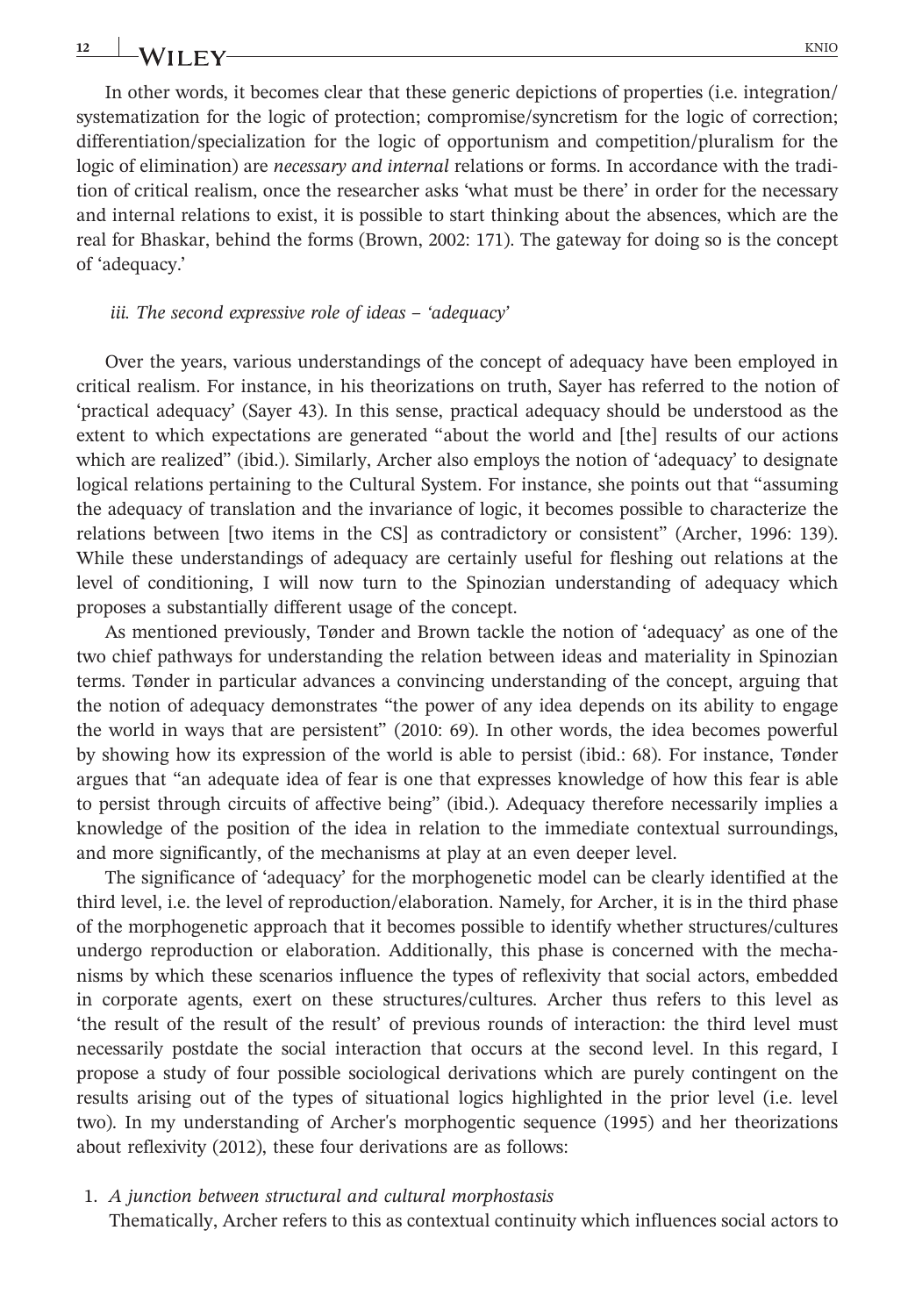In other words, it becomes clear that these generic depictions of properties (i.e. integration/ systematization for the logic of protection; compromise/syncretism for the logic of correction; differentiation/specialization for the logic of opportunism and competition/pluralism for the logic of elimination) are *necessary and internal* relations or forms. In accordance with the tradition of critical realism, once the researcher asks 'what must be there' in order for the necessary and internal relations to exist, it is possible to start thinking about the absences, which are the real for Bhaskar, behind the forms (Brown, 2002: 171). The gateway for doing so is the concept of 'adequacy.'

#### *iii. The second expressive role of ideas – 'adequacy'*

Over the years, various understandings of the concept of adequacy have been employed in critical realism. For instance, in his theorizations on truth, Sayer has referred to the notion of 'practical adequacy' (Sayer 43). In this sense, practical adequacy should be understood as the extent to which expectations are generated "about the world and [the] results of our actions which are realized" (ibid.). Similarly, Archer also employs the notion of 'adequacy' to designate logical relations pertaining to the Cultural System. For instance, she points out that "assuming the adequacy of translation and the invariance of logic, it becomes possible to characterize the relations between [two items in the CS] as contradictory or consistent" (Archer, 1996: 139). While these understandings of adequacy are certainly useful for fleshing out relations at the level of conditioning, I will now turn to the Spinozian understanding of adequacy which proposes a substantially different usage of the concept.

As mentioned previously, Tønder and Brown tackle the notion of 'adequacy' as one of the two chief pathways for understanding the relation between ideas and materiality in Spinozian terms. Tønder in particular advances a convincing understanding of the concept, arguing that the notion of adequacy demonstrates "the power of any idea depends on its ability to engage the world in ways that are persistent" (2010: 69). In other words, the idea becomes powerful by showing how its expression of the world is able to persist (ibid.: 68). For instance, Tønder argues that "an adequate idea of fear is one that expresses knowledge of how this fear is able to persist through circuits of affective being" (ibid.). Adequacy therefore necessarily implies a knowledge of the position of the idea in relation to the immediate contextual surroundings, and more significantly, of the mechanisms at play at an even deeper level.

The significance of 'adequacy' for the morphogenetic model can be clearly identified at the third level, i.e. the level of reproduction/elaboration. Namely, for Archer, it is in the third phase of the morphogenetic approach that it becomes possible to identify whether structures/cultures undergo reproduction or elaboration. Additionally, this phase is concerned with the mechanisms by which these scenarios influence the types of reflexivity that social actors, embedded in corporate agents, exert on these structures/cultures. Archer thus refers to this level as 'the result of the result of the result' of previous rounds of interaction: the third level must necessarily postdate the social interaction that occurs at the second level. In this regard, I propose a study of four possible sociological derivations which are purely contingent on the results arising out of the types of situational logics highlighted in the prior level (i.e. level two). In my understanding of Archer's morphogentic sequence (1995) and her theorizations about reflexivity (2012), these four derivations are as follows:

#### 1. *A junction between structural and cultural morphostasis*

Thematically, Archer refers to this as contextual continuity which influences social actors to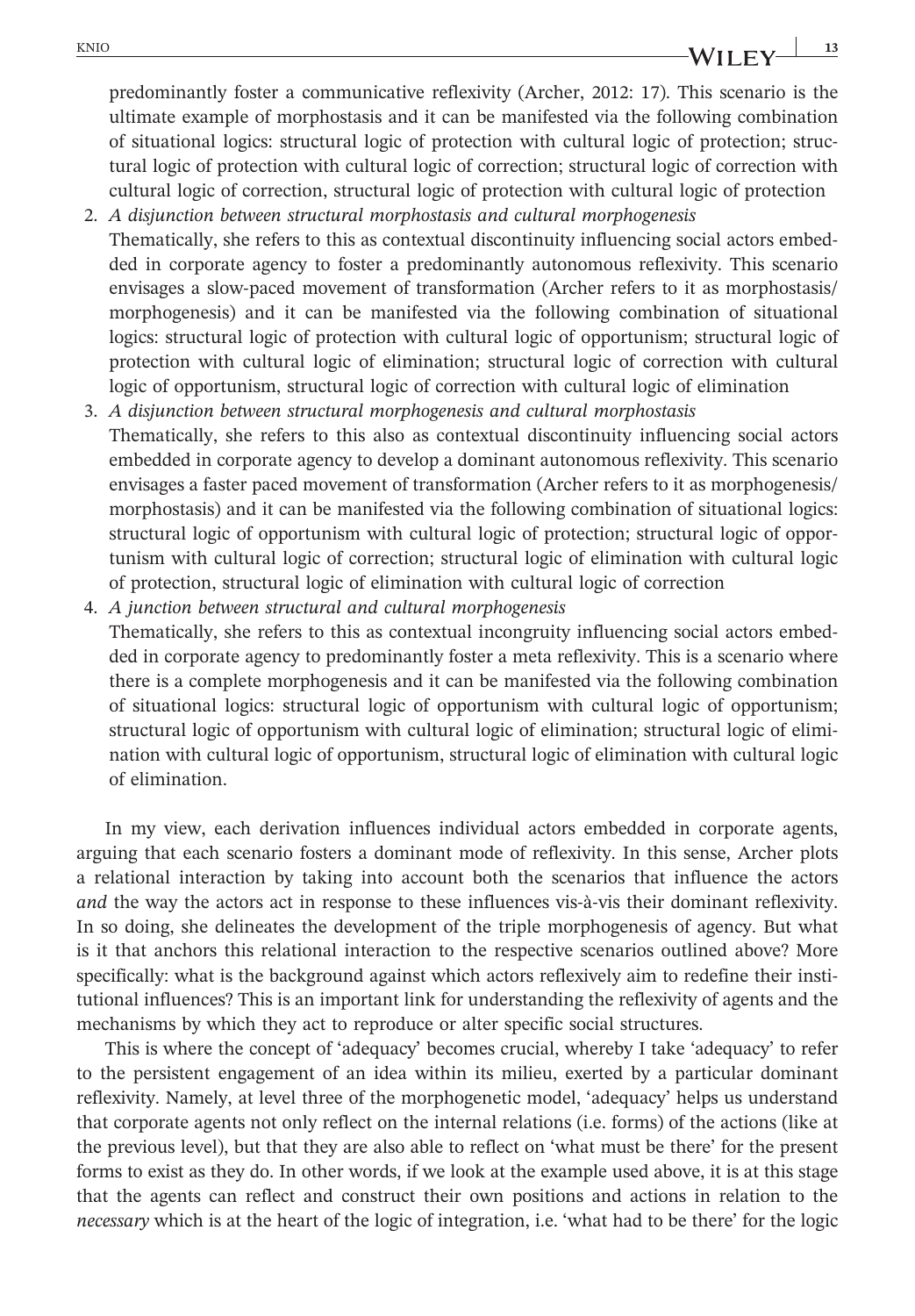### KNIO **13 13**

predominantly foster a communicative reflexivity (Archer, 2012: 17). This scenario is the ultimate example of morphostasis and it can be manifested via the following combination of situational logics: structural logic of protection with cultural logic of protection; structural logic of protection with cultural logic of correction; structural logic of correction with cultural logic of correction, structural logic of protection with cultural logic of protection

- 2. *A disjunction between structural morphostasis and cultural morphogenesis* Thematically, she refers to this as contextual discontinuity influencing social actors embedded in corporate agency to foster a predominantly autonomous reflexivity. This scenario envisages a slow-paced movement of transformation (Archer refers to it as morphostasis/ morphogenesis) and it can be manifested via the following combination of situational logics: structural logic of protection with cultural logic of opportunism; structural logic of protection with cultural logic of elimination; structural logic of correction with cultural logic of opportunism, structural logic of correction with cultural logic of elimination
- 3. *A disjunction between structural morphogenesis and cultural morphostasis* Thematically, she refers to this also as contextual discontinuity influencing social actors embedded in corporate agency to develop a dominant autonomous reflexivity. This scenario envisages a faster paced movement of transformation (Archer refers to it as morphogenesis/ morphostasis) and it can be manifested via the following combination of situational logics: structural logic of opportunism with cultural logic of protection; structural logic of opportunism with cultural logic of correction; structural logic of elimination with cultural logic of protection, structural logic of elimination with cultural logic of correction
- 4. *A junction between structural and cultural morphogenesis* Thematically, she refers to this as contextual incongruity influencing social actors embedded in corporate agency to predominantly foster a meta reflexivity. This is a scenario where there is a complete morphogenesis and it can be manifested via the following combination of situational logics: structural logic of opportunism with cultural logic of opportunism; structural logic of opportunism with cultural logic of elimination; structural logic of elimination with cultural logic of opportunism, structural logic of elimination with cultural logic of elimination.

In my view, each derivation influences individual actors embedded in corporate agents, arguing that each scenario fosters a dominant mode of reflexivity. In this sense, Archer plots a relational interaction by taking into account both the scenarios that influence the actors *and* the way the actors act in response to these influences vis-à-vis their dominant reflexivity. In so doing, she delineates the development of the triple morphogenesis of agency. But what is it that anchors this relational interaction to the respective scenarios outlined above? More specifically: what is the background against which actors reflexively aim to redefine their institutional influences? This is an important link for understanding the reflexivity of agents and the mechanisms by which they act to reproduce or alter specific social structures.

This is where the concept of 'adequacy' becomes crucial, whereby I take 'adequacy' to refer to the persistent engagement of an idea within its milieu, exerted by a particular dominant reflexivity. Namely, at level three of the morphogenetic model, 'adequacy' helps us understand that corporate agents not only reflect on the internal relations (i.e. forms) of the actions (like at the previous level), but that they are also able to reflect on 'what must be there' for the present forms to exist as they do. In other words, if we look at the example used above, it is at this stage that the agents can reflect and construct their own positions and actions in relation to the *necessary* which is at the heart of the logic of integration, i.e. 'what had to be there' for the logic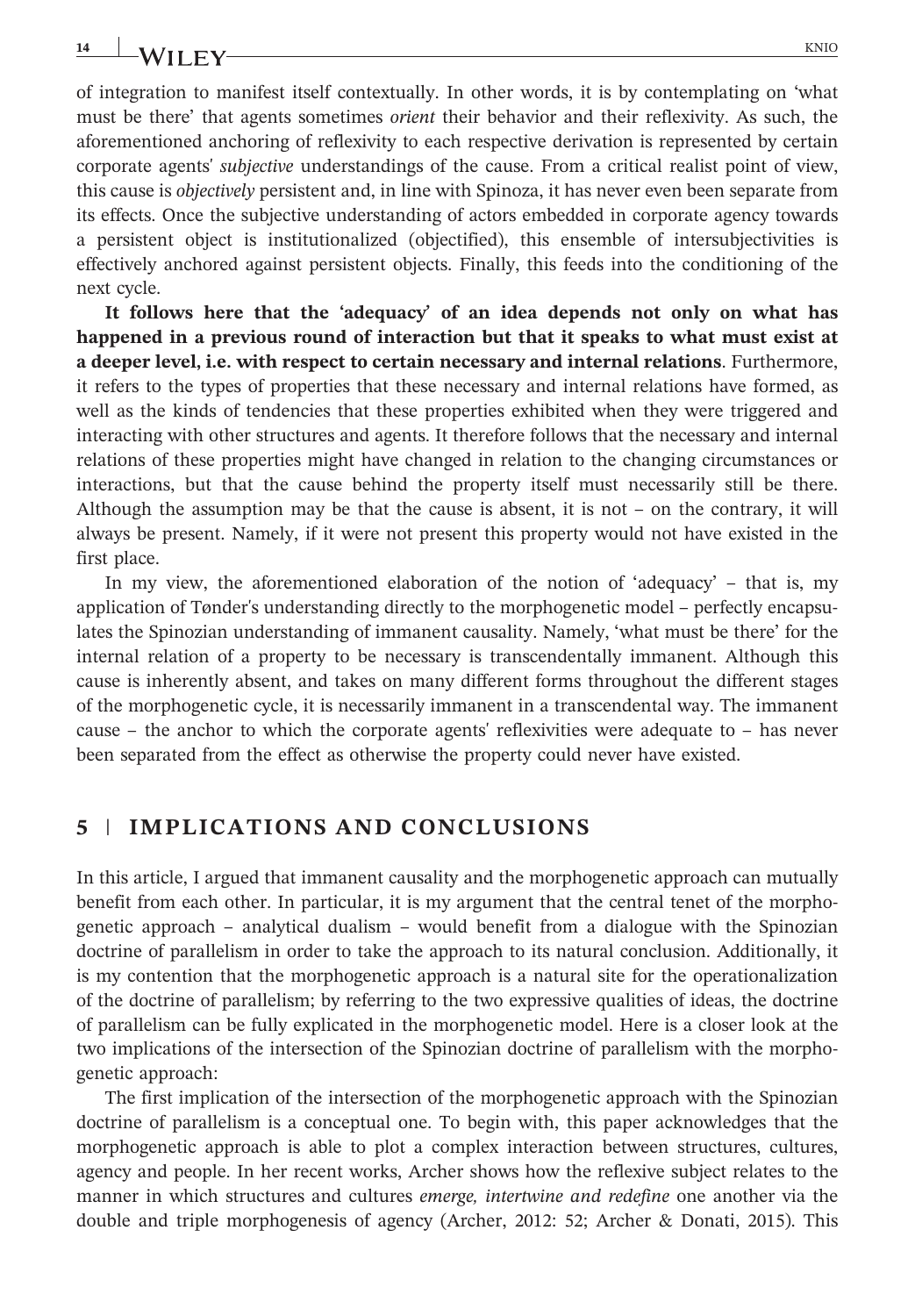of integration to manifest itself contextually. In other words, it is by contemplating on 'what must be there' that agents sometimes *orient* their behavior and their reflexivity. As such, the aforementioned anchoring of reflexivity to each respective derivation is represented by certain corporate agents' *subjective* understandings of the cause. From a critical realist point of view, this cause is *objectively* persistent and, in line with Spinoza, it has never even been separate from its effects. Once the subjective understanding of actors embedded in corporate agency towards a persistent object is institutionalized (objectified), this ensemble of intersubjectivities is effectively anchored against persistent objects. Finally, this feeds into the conditioning of the next cycle.

**It follows here that the 'adequacy' of an idea depends not only on what has happened in a previous round of interaction but that it speaks to what must exist at a deeper level, i.e. with respect to certain necessary and internal relations**. Furthermore, it refers to the types of properties that these necessary and internal relations have formed, as well as the kinds of tendencies that these properties exhibited when they were triggered and interacting with other structures and agents. It therefore follows that the necessary and internal relations of these properties might have changed in relation to the changing circumstances or interactions, but that the cause behind the property itself must necessarily still be there. Although the assumption may be that the cause is absent, it is not – on the contrary, it will always be present. Namely, if it were not present this property would not have existed in the first place.

In my view, the aforementioned elaboration of the notion of 'adequacy' – that is, my application of Tønder's understanding directly to the morphogenetic model – perfectly encapsulates the Spinozian understanding of immanent causality. Namely, 'what must be there' for the internal relation of a property to be necessary is transcendentally immanent. Although this cause is inherently absent, and takes on many different forms throughout the different stages of the morphogenetic cycle, it is necessarily immanent in a transcendental way. The immanent cause – the anchor to which the corporate agents' reflexivities were adequate to – has never been separated from the effect as otherwise the property could never have existed.

## **5** | **IMPLICATIONS AND CONCLUSIONS**

In this article, I argued that immanent causality and the morphogenetic approach can mutually benefit from each other. In particular, it is my argument that the central tenet of the morphogenetic approach – analytical dualism – would benefit from a dialogue with the Spinozian doctrine of parallelism in order to take the approach to its natural conclusion. Additionally, it is my contention that the morphogenetic approach is a natural site for the operationalization of the doctrine of parallelism; by referring to the two expressive qualities of ideas, the doctrine of parallelism can be fully explicated in the morphogenetic model. Here is a closer look at the two implications of the intersection of the Spinozian doctrine of parallelism with the morphogenetic approach:

The first implication of the intersection of the morphogenetic approach with the Spinozian doctrine of parallelism is a conceptual one. To begin with, this paper acknowledges that the morphogenetic approach is able to plot a complex interaction between structures, cultures, agency and people. In her recent works, Archer shows how the reflexive subject relates to the manner in which structures and cultures *emerge, intertwine and redefine* one another via the double and triple morphogenesis of agency (Archer, 2012: 52; Archer & Donati, 2015). This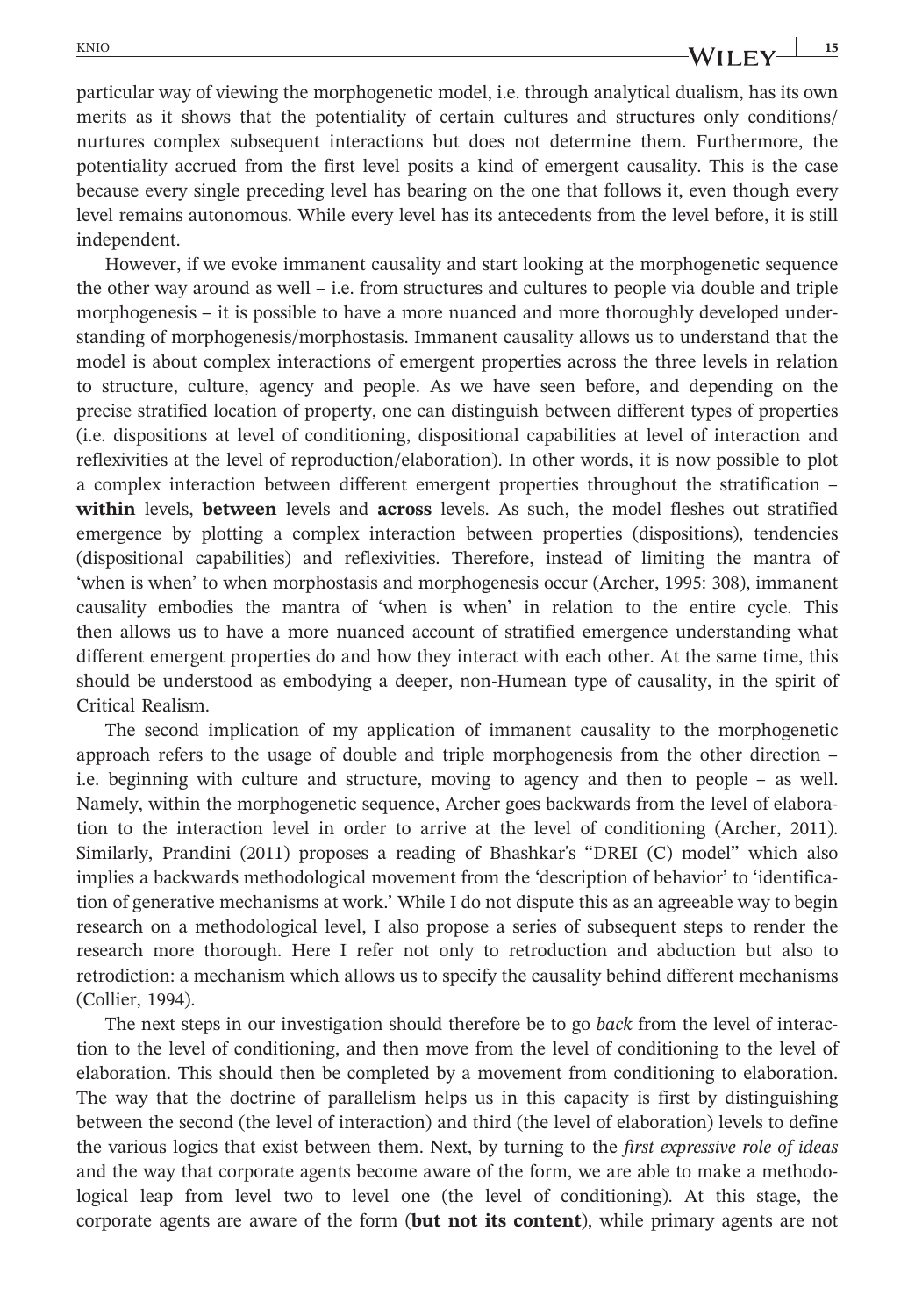#### KNIO **15**  $\mathbf{M}/\mathbf{H} = \mathbf{N}$

particular way of viewing the morphogenetic model, i.e. through analytical dualism, has its own merits as it shows that the potentiality of certain cultures and structures only conditions/ nurtures complex subsequent interactions but does not determine them. Furthermore, the potentiality accrued from the first level posits a kind of emergent causality. This is the case because every single preceding level has bearing on the one that follows it, even though every level remains autonomous. While every level has its antecedents from the level before, it is still independent.

However, if we evoke immanent causality and start looking at the morphogenetic sequence the other way around as well – i.e. from structures and cultures to people via double and triple morphogenesis – it is possible to have a more nuanced and more thoroughly developed understanding of morphogenesis/morphostasis. Immanent causality allows us to understand that the model is about complex interactions of emergent properties across the three levels in relation to structure, culture, agency and people. As we have seen before, and depending on the precise stratified location of property, one can distinguish between different types of properties (i.e. dispositions at level of conditioning, dispositional capabilities at level of interaction and reflexivities at the level of reproduction/elaboration). In other words, it is now possible to plot a complex interaction between different emergent properties throughout the stratification – **within** levels, **between** levels and **across** levels. As such, the model fleshes out stratified emergence by plotting a complex interaction between properties (dispositions), tendencies (dispositional capabilities) and reflexivities. Therefore, instead of limiting the mantra of 'when is when' to when morphostasis and morphogenesis occur (Archer, 1995: 308), immanent causality embodies the mantra of 'when is when' in relation to the entire cycle. This then allows us to have a more nuanced account of stratified emergence understanding what different emergent properties do and how they interact with each other. At the same time, this should be understood as embodying a deeper, non‐Humean type of causality, in the spirit of Critical Realism.

The second implication of my application of immanent causality to the morphogenetic approach refers to the usage of double and triple morphogenesis from the other direction – i.e. beginning with culture and structure, moving to agency and then to people – as well. Namely, within the morphogenetic sequence, Archer goes backwards from the level of elaboration to the interaction level in order to arrive at the level of conditioning (Archer, 2011). Similarly, Prandini (2011) proposes a reading of Bhashkar's "DREI (C) model" which also implies a backwards methodological movement from the 'description of behavior' to 'identification of generative mechanisms at work.' While I do not dispute this as an agreeable way to begin research on a methodological level, I also propose a series of subsequent steps to render the research more thorough. Here I refer not only to retroduction and abduction but also to retrodiction: a mechanism which allows us to specify the causality behind different mechanisms (Collier, 1994).

The next steps in our investigation should therefore be to go *back* from the level of interaction to the level of conditioning, and then move from the level of conditioning to the level of elaboration. This should then be completed by a movement from conditioning to elaboration. The way that the doctrine of parallelism helps us in this capacity is first by distinguishing between the second (the level of interaction) and third (the level of elaboration) levels to define the various logics that exist between them. Next, by turning to the *first expressive role of ideas* and the way that corporate agents become aware of the form, we are able to make a methodological leap from level two to level one (the level of conditioning). At this stage, the corporate agents are aware of the form (**but not its content**), while primary agents are not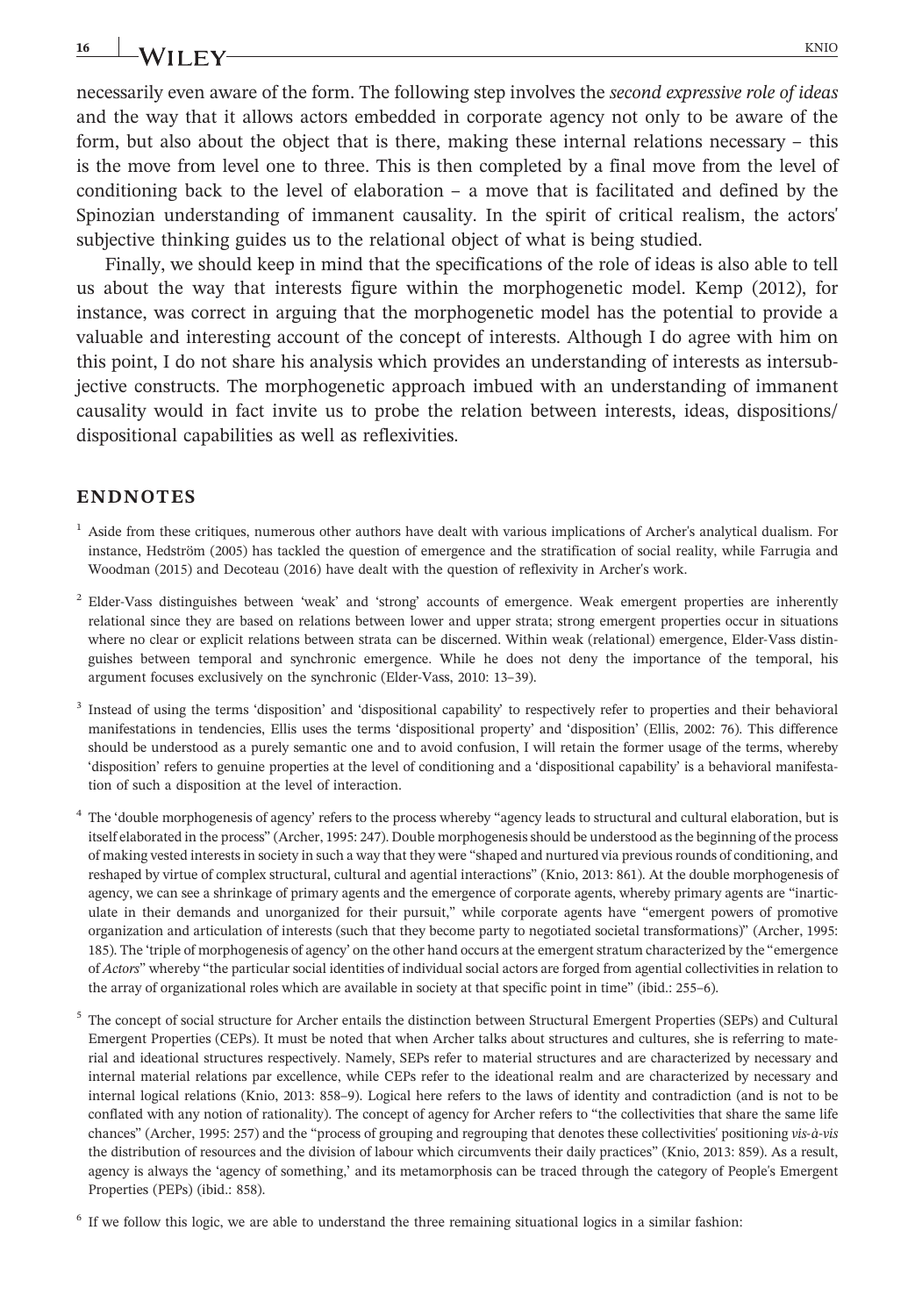necessarily even aware of the form. The following step involves the *second expressive role of ideas* and the way that it allows actors embedded in corporate agency not only to be aware of the form, but also about the object that is there, making these internal relations necessary – this is the move from level one to three. This is then completed by a final move from the level of conditioning back to the level of elaboration – a move that is facilitated and defined by the Spinozian understanding of immanent causality. In the spirit of critical realism, the actors' subjective thinking guides us to the relational object of what is being studied.

Finally, we should keep in mind that the specifications of the role of ideas is also able to tell us about the way that interests figure within the morphogenetic model. Kemp (2012), for instance, was correct in arguing that the morphogenetic model has the potential to provide a valuable and interesting account of the concept of interests. Although I do agree with him on this point, I do not share his analysis which provides an understanding of interests as intersubjective constructs. The morphogenetic approach imbued with an understanding of immanent causality would in fact invite us to probe the relation between interests, ideas, dispositions/ dispositional capabilities as well as reflexivities.

#### **ENDNOTES**

- <sup>1</sup> Aside from these critiques, numerous other authors have dealt with various implications of Archer's analytical dualism. For instance, Hedström (2005) has tackled the question of emergence and the stratification of social reality, while Farrugia and Woodman (2015) and Decoteau (2016) have dealt with the question of reflexivity in Archer's work.
- <sup>2</sup> Elder‐Vass distinguishes between 'weak' and 'strong' accounts of emergence. Weak emergent properties are inherently relational since they are based on relations between lower and upper strata; strong emergent properties occur in situations where no clear or explicit relations between strata can be discerned. Within weak (relational) emergence, Elder-Vass distinguishes between temporal and synchronic emergence. While he does not deny the importance of the temporal, his argument focuses exclusively on the synchronic (Elder‐Vass, 2010: 13–39).
- Instead of using the terms 'disposition' and 'dispositional capability' to respectively refer to properties and their behavioral manifestations in tendencies, Ellis uses the terms 'dispositional property' and 'disposition' (Ellis, 2002: 76). This difference should be understood as a purely semantic one and to avoid confusion, I will retain the former usage of the terms, whereby 'disposition' refers to genuine properties at the level of conditioning and a 'dispositional capability' is a behavioral manifestation of such a disposition at the level of interaction.
- <sup>4</sup> The 'double morphogenesis of agency' refers to the process whereby "agency leads to structural and cultural elaboration, but is itself elaborated in the process" (Archer, 1995: 247). Double morphogenesis should be understood as the beginning of the process of making vested interests in society in such a way that they were "shaped and nurtured via previous rounds of conditioning, and reshaped by virtue of complex structural, cultural and agential interactions" (Knio, 2013: 861). At the double morphogenesis of agency, we can see a shrinkage of primary agents and the emergence of corporate agents, whereby primary agents are "inarticulate in their demands and unorganized for their pursuit," while corporate agents have "emergent powers of promotive organization and articulation of interests (such that they become party to negotiated societal transformations)" (Archer, 1995: 185). The 'triple of morphogenesis of agency' on the other hand occurs at the emergent stratum characterized by the "emergence of *Actors*" whereby "the particular social identities of individual social actors are forged from agential collectivities in relation to the array of organizational roles which are available in society at that specific point in time" (ibid.: 255–6).
- <sup>5</sup> The concept of social structure for Archer entails the distinction between Structural Emergent Properties (SEPs) and Cultural Emergent Properties (CEPs). It must be noted that when Archer talks about structures and cultures, she is referring to material and ideational structures respectively. Namely, SEPs refer to material structures and are characterized by necessary and internal material relations par excellence, while CEPs refer to the ideational realm and are characterized by necessary and internal logical relations (Knio, 2013: 858–9). Logical here refers to the laws of identity and contradiction (and is not to be conflated with any notion of rationality). The concept of agency for Archer refers to "the collectivities that share the same life chances" (Archer, 1995: 257) and the "process of grouping and regrouping that denotes these collectivities' positioning *vis‐à‐vis* the distribution of resources and the division of labour which circumvents their daily practices" (Knio, 2013: 859). As a result, agency is always the 'agency of something,' and its metamorphosis can be traced through the category of People's Emergent Properties (PEPs) (ibid.: 858).
- <sup>6</sup> If we follow this logic, we are able to understand the three remaining situational logics in a similar fashion: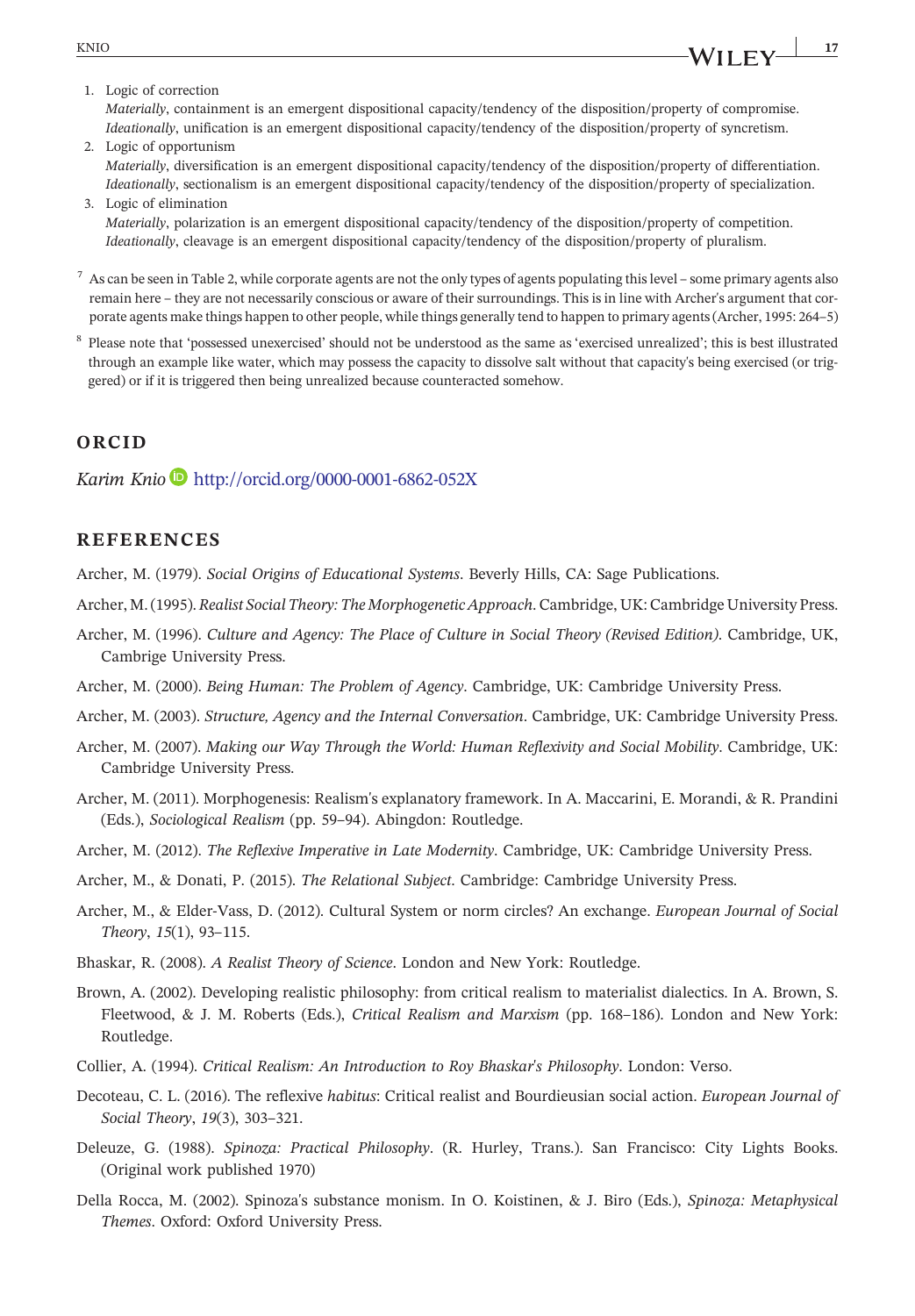- 1. Logic of correction *Materially*, containment is an emergent dispositional capacity/tendency of the disposition/property of compromise.
- *Ideationally*, unification is an emergent dispositional capacity/tendency of the disposition/property of syncretism. 2. Logic of opportunism *Materially*, diversification is an emergent dispositional capacity/tendency of the disposition/property of differentiation.
- *Ideationally*, sectionalism is an emergent dispositional capacity/tendency of the disposition/property of specialization. 3. Logic of elimination

*Materially*, polarization is an emergent dispositional capacity/tendency of the disposition/property of competition. *Ideationally*, cleavage is an emergent dispositional capacity/tendency of the disposition/property of pluralism.

- $^7$  As can be seen in Table 2, while corporate agents are not the only types of agents populating this level some primary agents also remain here – they are not necessarily conscious or aware of their surroundings. This is in line with Archer's argument that corporate agents make things happen to other people, while things generally tend to happen to primary agents (Archer, 1995: 264–5)
- <sup>8</sup> Please note that 'possessed unexercised' should not be understood as the same as 'exercised unrealized'; this is best illustrated through an example like water, which may possess the capacity to dissolve salt without that capacity's being exercised (or triggered) or if it is triggered then being unrealized because counteracted somehow.

#### **ORCID**

*Karim Knio* <http://orcid.org/0000-0001-6862-052X>

#### **REFERENCES**

- Archer, M. (1979). *Social Origins of Educational Systems*. Beverly Hills, CA: Sage Publications.
- Archer, M. (1995). *Realist Social Theory: The Morphogenetic Approach*. Cambridge, UK: Cambridge University Press.
- Archer, M. (1996). *Culture and Agency: The Place of Culture in Social Theory (Revised Edition)*. Cambridge, UK, Cambrige University Press.
- Archer, M. (2000). *Being Human: The Problem of Agency*. Cambridge, UK: Cambridge University Press.
- Archer, M. (2003). *Structure, Agency and the Internal Conversation*. Cambridge, UK: Cambridge University Press.
- Archer, M. (2007). *Making our Way Through the World: Human Reflexivity and Social Mobility*. Cambridge, UK: Cambridge University Press.
- Archer, M. (2011). Morphogenesis: Realism's explanatory framework. In A. Maccarini, E. Morandi, & R. Prandini (Eds.), *Sociological Realism* (pp. 59–94). Abingdon: Routledge.
- Archer, M. (2012). *The Reflexive Imperative in Late Modernity*. Cambridge, UK: Cambridge University Press.
- Archer, M., & Donati, P. (2015). *The Relational Subject*. Cambridge: Cambridge University Press.
- Archer, M., & Elder‐Vass, D. (2012). Cultural System or norm circles? An exchange. *European Journal of Social Theory*, *15*(1), 93–115.
- Bhaskar, R. (2008). *A Realist Theory of Science*. London and New York: Routledge.
- Brown, A. (2002). Developing realistic philosophy: from critical realism to materialist dialectics. In A. Brown, S. Fleetwood, & J. M. Roberts (Eds.), *Critical Realism and Marxism* (pp. 168–186). London and New York: Routledge.
- Collier, A. (1994). *Critical Realism: An Introduction to Roy Bhaskar*'*s Philosophy*. London: Verso.
- Decoteau, C. L. (2016). The reflexive *habitus*: Critical realist and Bourdieusian social action. *European Journal of Social Theory*, *19*(3), 303–321.
- Deleuze, G. (1988). *Spinoza: Practical Philosophy*. (R. Hurley, Trans.). San Francisco: City Lights Books. (Original work published 1970)
- Della Rocca, M. (2002). Spinoza's substance monism. In O. Koistinen, & J. Biro (Eds.), *Spinoza: Metaphysical Themes*. Oxford: Oxford University Press.